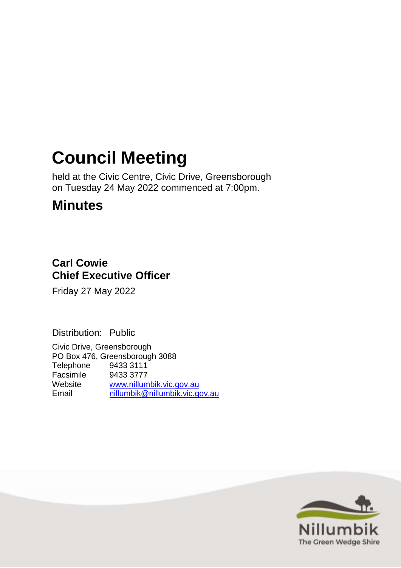# **Council Meeting**

held at the Civic Centre, Civic Drive, Greensborough on Tuesday 24 May 2022 commenced at 7:00pm.

## **Minutes**

### **Carl Cowie Chief Executive Officer**

Friday 27 May 2022

Distribution: Public

Civic Drive, Greensborough PO Box 476, Greensborough 3088 Telephone 9433 3111 Facsimile 9433 3777 Website [www.nillumbik.vic.gov.au](http://www.nillumbik.vic.gov.au/) Email [nillumbik@nillumbik.vic.gov.au](mailto:nillumbik@nillumbik.vic.gov.au)

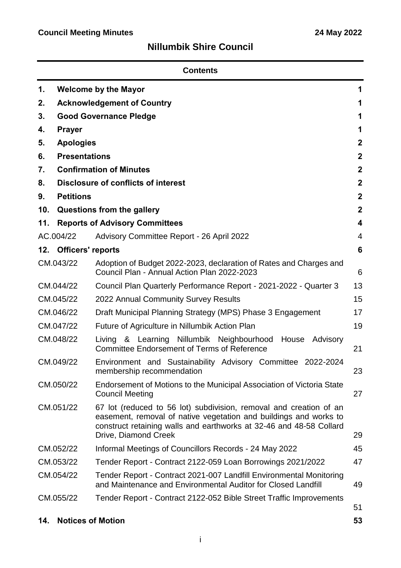### **Nillumbik Shire Council**

| <b>Contents</b> |                                   |                                                                                                                                                                                                                                        |                |
|-----------------|-----------------------------------|----------------------------------------------------------------------------------------------------------------------------------------------------------------------------------------------------------------------------------------|----------------|
| 1.              |                                   | <b>Welcome by the Mayor</b>                                                                                                                                                                                                            | 1              |
| 2.              | <b>Acknowledgement of Country</b> |                                                                                                                                                                                                                                        |                |
| 3.              |                                   | <b>Good Governance Pledge</b>                                                                                                                                                                                                          | 1              |
| 4.              | <b>Prayer</b>                     |                                                                                                                                                                                                                                        | 1              |
| 5.              | <b>Apologies</b>                  |                                                                                                                                                                                                                                        | $\mathbf 2$    |
| 6.              | <b>Presentations</b>              |                                                                                                                                                                                                                                        | $\mathbf{2}$   |
| 7.              |                                   | <b>Confirmation of Minutes</b>                                                                                                                                                                                                         | $\mathbf{2}$   |
| 8.              |                                   | <b>Disclosure of conflicts of interest</b>                                                                                                                                                                                             | $\mathbf{2}$   |
| 9.              | <b>Petitions</b>                  |                                                                                                                                                                                                                                        | $\mathbf{2}$   |
| 10.             |                                   | Questions from the gallery                                                                                                                                                                                                             | $\mathbf{2}$   |
| 11.             |                                   | <b>Reports of Advisory Committees</b>                                                                                                                                                                                                  | 4              |
|                 | AC.004/22                         | Advisory Committee Report - 26 April 2022                                                                                                                                                                                              | $\overline{4}$ |
| 12.             | <b>Officers' reports</b>          |                                                                                                                                                                                                                                        | 6              |
|                 | CM.043/22                         | Adoption of Budget 2022-2023, declaration of Rates and Charges and<br>Council Plan - Annual Action Plan 2022-2023                                                                                                                      | 6              |
|                 | CM.044/22                         | Council Plan Quarterly Performance Report - 2021-2022 - Quarter 3                                                                                                                                                                      | 13             |
|                 | CM.045/22                         | 2022 Annual Community Survey Results                                                                                                                                                                                                   | 15             |
|                 | CM.046/22                         | Draft Municipal Planning Strategy (MPS) Phase 3 Engagement                                                                                                                                                                             | 17             |
|                 | CM.047/22                         | Future of Agriculture in Nillumbik Action Plan                                                                                                                                                                                         | 19             |
| CM.048/22       |                                   | <b>Nillumbik</b><br>Neighbourhood<br>House<br>&<br>Learning<br>Advisory<br>Living<br><b>Committee Endorsement of Terms of Reference</b>                                                                                                | 21             |
| CM.049/22       |                                   | Environment and Sustainability Advisory Committee 2022-2024<br>membership recommendation                                                                                                                                               | 23             |
|                 | CM.050/22                         | Endorsement of Motions to the Municipal Association of Victoria State<br><b>Council Meeting</b>                                                                                                                                        | 27             |
|                 | CM.051/22                         | 67 lot (reduced to 56 lot) subdivision, removal and creation of an<br>easement, removal of native vegetation and buildings and works to<br>construct retaining walls and earthworks at 32-46 and 48-58 Collard<br>Drive, Diamond Creek | 29             |
|                 | CM.052/22                         | Informal Meetings of Councillors Records - 24 May 2022                                                                                                                                                                                 | 45             |
|                 | CM.053/22                         | Tender Report - Contract 2122-059 Loan Borrowings 2021/2022                                                                                                                                                                            | 47             |
|                 | CM.054/22                         | Tender Report - Contract 2021-007 Landfill Environmental Monitoring<br>and Maintenance and Environmental Auditor for Closed Landfill                                                                                                   | 49             |
|                 | CM.055/22                         | Tender Report - Contract 2122-052 Bible Street Traffic Improvements                                                                                                                                                                    |                |
|                 |                                   |                                                                                                                                                                                                                                        | 51             |
| 14.             |                                   | <b>Notices of Motion</b>                                                                                                                                                                                                               | 53             |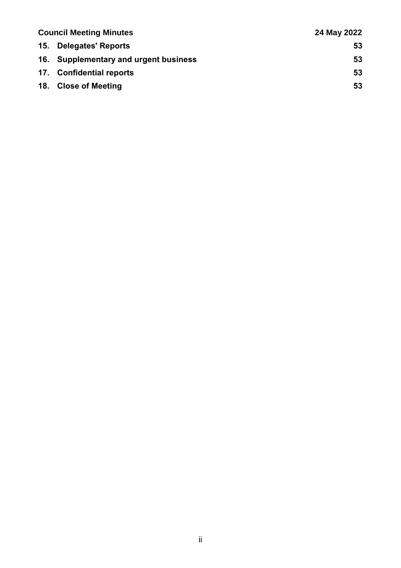| <b>Council Meeting Minutes</b> |                                       | 24 May 2022 |
|--------------------------------|---------------------------------------|-------------|
|                                | 15. Delegates' Reports                | 53          |
|                                | 16. Supplementary and urgent business | 53          |
|                                | 17. Confidential reports              | 53          |
|                                | 18. Close of Meeting                  | 53          |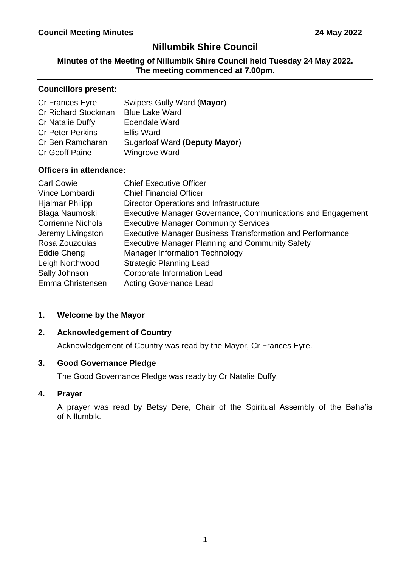### **Nillumbik Shire Council**

#### **Minutes of the Meeting of Nillumbik Shire Council held Tuesday 24 May 2022. The meeting commenced at 7.00pm.**

#### **Councillors present:**

| Cr Frances Eyre            | Swipers Gully Ward (Mayor)    |
|----------------------------|-------------------------------|
| <b>Cr Richard Stockman</b> | <b>Blue Lake Ward</b>         |
| Cr Natalie Duffy           | <b>Edendale Ward</b>          |
| <b>Cr Peter Perkins</b>    | <b>Ellis Ward</b>             |
| Cr Ben Ramcharan           | Sugarloaf Ward (Deputy Mayor) |
| <b>Cr Geoff Paine</b>      | <b>Wingrove Ward</b>          |
|                            |                               |

#### **Officers in attendance:**

| <b>Carl Cowie</b>        | <b>Chief Executive Officer</b>                                   |
|--------------------------|------------------------------------------------------------------|
| Vince Lombardi           | <b>Chief Financial Officer</b>                                   |
| <b>Hjalmar Philipp</b>   | Director Operations and Infrastructure                           |
| Blaga Naumoski           | Executive Manager Governance, Communications and Engagement      |
| <b>Corrienne Nichols</b> | <b>Executive Manager Community Services</b>                      |
| Jeremy Livingston        | <b>Executive Manager Business Transformation and Performance</b> |
| Rosa Zouzoulas           | <b>Executive Manager Planning and Community Safety</b>           |
| Eddie Cheng              | <b>Manager Information Technology</b>                            |
| Leigh Northwood          | <b>Strategic Planning Lead</b>                                   |
| Sally Johnson            | <b>Corporate Information Lead</b>                                |
| Emma Christensen         | <b>Acting Governance Lead</b>                                    |

#### <span id="page-3-0"></span>**1. Welcome by the Mayor**

#### <span id="page-3-1"></span>**2. Acknowledgement of Country**

Acknowledgement of Country was read by the Mayor, Cr Frances Eyre.

#### <span id="page-3-2"></span>**3. Good Governance Pledge**

The Good Governance Pledge was ready by Cr Natalie Duffy.

#### <span id="page-3-3"></span>**4. Prayer**

A prayer was read by Betsy Dere, Chair of the Spiritual Assembly of the Baha'is of Nillumbik.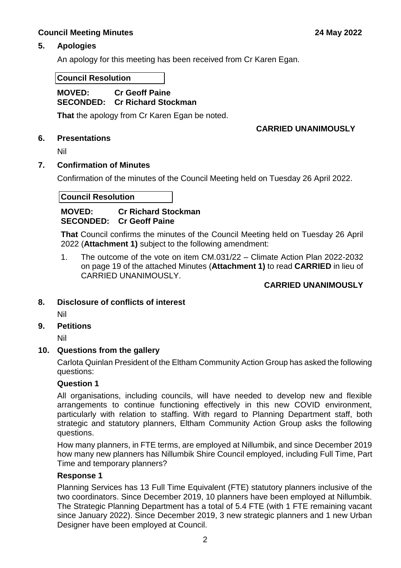#### <span id="page-4-0"></span>**5. Apologies**

An apology for this meeting has been received from Cr Karen Egan.

#### **Council Resolution**

#### **MOVED: Cr Geoff Paine SECONDED: Cr Richard Stockman**

**That** the apology from Cr Karen Egan be noted.

#### **CARRIED UNANIMOUSLY**

<span id="page-4-1"></span>**6. Presentations** 

Nil

#### <span id="page-4-2"></span>**7. Confirmation of Minutes**

Confirmation of the minutes of the Council Meeting held on Tuesday 26 April 2022.

#### **Council Resolution**

#### **MOVED: Cr Richard Stockman SECONDED: Cr Geoff Paine**

**That** Council confirms the minutes of the Council Meeting held on Tuesday 26 April 2022 (**Attachment 1)** subject to the following amendment:

1. The outcome of the vote on item CM.031/22 – Climate Action Plan 2022-2032 on page 19 of the attached Minutes (**Attachment 1)** to read **CARRIED** in lieu of CARRIED UNANIMOUSLY.

#### **CARRIED UNANIMOUSLY**

<span id="page-4-3"></span>**8. Disclosure of conflicts of interest**

Nil

<span id="page-4-4"></span>**9. Petitions** 

Nil

#### <span id="page-4-5"></span>**10. Questions from the gallery**

Carlota Quinlan President of the Eltham Community Action Group has asked the following questions:

#### **Question 1**

All organisations, including councils, will have needed to develop new and flexible arrangements to continue functioning effectively in this new COVID environment, particularly with relation to staffing. With regard to Planning Department staff, both strategic and statutory planners, Eltham Community Action Group asks the following questions.

How many planners, in FTE terms, are employed at Nillumbik, and since December 2019 how many new planners has Nillumbik Shire Council employed, including Full Time, Part Time and temporary planners?

#### **Response 1**

Planning Services has 13 Full Time Equivalent (FTE) statutory planners inclusive of the two coordinators. Since December 2019, 10 planners have been employed at Nillumbik. The Strategic Planning Department has a total of 5.4 FTE (with 1 FTE remaining vacant since January 2022). Since December 2019, 3 new strategic planners and 1 new Urban Designer have been employed at Council.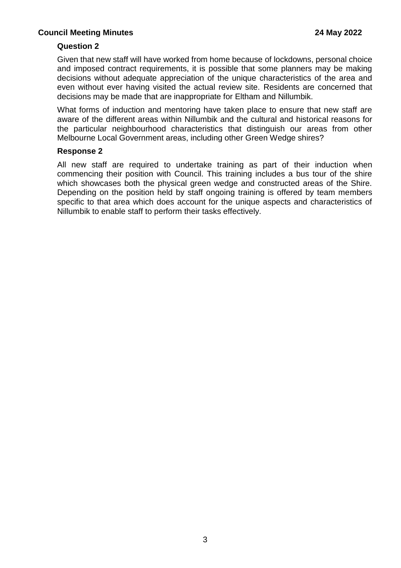#### **Question 2**

Given that new staff will have worked from home because of lockdowns, personal choice and imposed contract requirements, it is possible that some planners may be making decisions without adequate appreciation of the unique characteristics of the area and even without ever having visited the actual review site. Residents are concerned that decisions may be made that are inappropriate for Eltham and Nillumbik.

What forms of induction and mentoring have taken place to ensure that new staff are aware of the different areas within Nillumbik and the cultural and historical reasons for the particular neighbourhood characteristics that distinguish our areas from other Melbourne Local Government areas, including other Green Wedge shires?

#### **Response 2**

All new staff are required to undertake training as part of their induction when commencing their position with Council. This training includes a bus tour of the shire which showcases both the physical green wedge and constructed areas of the Shire. Depending on the position held by staff ongoing training is offered by team members specific to that area which does account for the unique aspects and characteristics of Nillumbik to enable staff to perform their tasks effectively.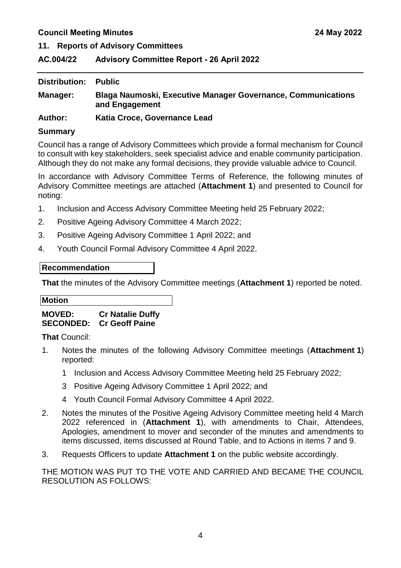<span id="page-6-0"></span>**11. Reports of Advisory Committees**

#### <span id="page-6-1"></span>**AC.004/22 Advisory Committee Report - 26 April 2022**

| <b>Distribution:</b> | <b>Public</b>                                                                         |
|----------------------|---------------------------------------------------------------------------------------|
| Manager:             | <b>Blaga Naumoski, Executive Manager Governance, Communications</b><br>and Engagement |
| <b>Author:</b>       | Katia Croce, Governance Lead                                                          |

#### **Summary**

Council has a range of Advisory Committees which provide a formal mechanism for Council to consult with key stakeholders, seek specialist advice and enable community participation. Although they do not make any formal decisions, they provide valuable advice to Council.

In accordance with Advisory Committee Terms of Reference, the following minutes of Advisory Committee meetings are attached (**Attachment 1**) and presented to Council for noting:

- 1. Inclusion and Access Advisory Committee Meeting held 25 February 2022;
- 2. Positive Ageing Advisory Committee 4 March 2022;
- 3. Positive Ageing Advisory Committee 1 April 2022; and
- 4. Youth Council Formal Advisory Committee 4 April 2022.

#### **Recommendation**

**That** the minutes of the Advisory Committee meetings (**Attachment 1**) reported be noted.

**Motion**

**MOVED: Cr Natalie Duffy SECONDED: Cr Geoff Paine**

**That** Council:

- 1. Notes the minutes of the following Advisory Committee meetings (**Attachment 1**) reported:
	- 1 Inclusion and Access Advisory Committee Meeting held 25 February 2022;
	- 3 Positive Ageing Advisory Committee 1 April 2022; and
	- 4 Youth Council Formal Advisory Committee 4 April 2022.
- 2. Notes the minutes of the Positive Ageing Advisory Committee meeting held 4 March 2022 referenced in (**Attachment 1**), with amendments to Chair, Attendees, Apologies, amendment to mover and seconder of the minutes and amendments to items discussed, items discussed at Round Table, and to Actions in items 7 and 9.
- 3. Requests Officers to update **Attachment 1** on the public website accordingly.

THE MOTION WAS PUT TO THE VOTE AND CARRIED AND BECAME THE COUNCIL RESOLUTION AS FOLLOWS: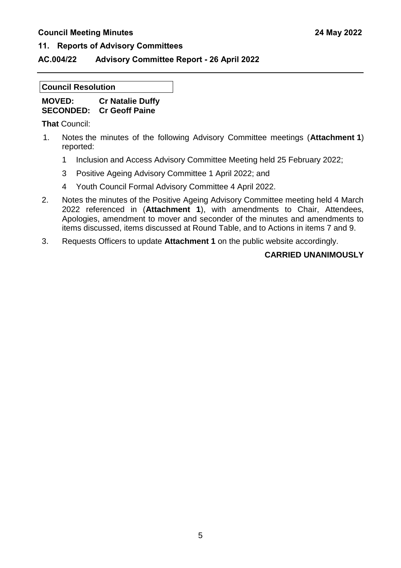#### **11. Reports of Advisory Committees**

#### **AC.004/22 Advisory Committee Report - 26 April 2022**

#### **Council Resolution**

| <b>MOVED:</b>    | <b>Cr Natalie Duffy</b> |
|------------------|-------------------------|
| <b>SECONDED:</b> | <b>Cr Geoff Paine</b>   |

**That** Council:

- 1. Notes the minutes of the following Advisory Committee meetings (**Attachment 1**) reported:
	- 1 Inclusion and Access Advisory Committee Meeting held 25 February 2022;
	- 3 Positive Ageing Advisory Committee 1 April 2022; and
	- 4 Youth Council Formal Advisory Committee 4 April 2022.
- 2. Notes the minutes of the Positive Ageing Advisory Committee meeting held 4 March 2022 referenced in (**Attachment 1**), with amendments to Chair, Attendees, Apologies, amendment to mover and seconder of the minutes and amendments to items discussed, items discussed at Round Table, and to Actions in items 7 and 9.
- 3. Requests Officers to update **Attachment 1** on the public website accordingly.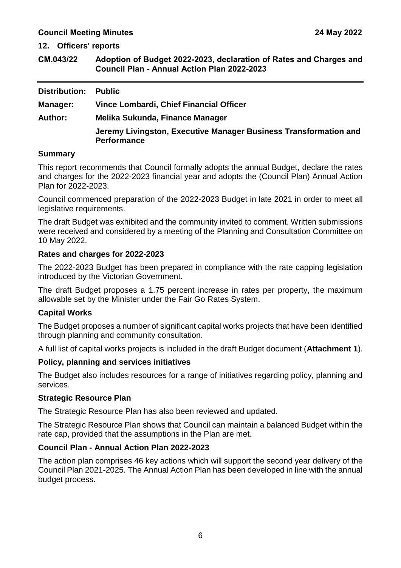<span id="page-8-0"></span>**12. Officers' reports**

<span id="page-8-1"></span>

| CM.043/22 | Adoption of Budget 2022-2023, declaration of Rates and Charges and |
|-----------|--------------------------------------------------------------------|
|           | <b>Council Plan - Annual Action Plan 2022-2023</b>                 |

| Distribution:   | <b>Public</b>                                                                          |
|-----------------|----------------------------------------------------------------------------------------|
| <b>Manager:</b> | Vince Lombardi, Chief Financial Officer                                                |
| <b>Author:</b>  | Melika Sukunda, Finance Manager                                                        |
|                 | Jeremy Livingston, Executive Manager Business Transformation and<br><b>Performance</b> |

#### **Summary**

This report recommends that Council formally adopts the annual Budget, declare the rates and charges for the 2022-2023 financial year and adopts the (Council Plan) Annual Action Plan for 2022-2023.

Council commenced preparation of the 2022-2023 Budget in late 2021 in order to meet all legislative requirements.

The draft Budget was exhibited and the community invited to comment. Written submissions were received and considered by a meeting of the Planning and Consultation Committee on 10 May 2022.

#### **Rates and charges for 2022-2023**

The 2022-2023 Budget has been prepared in compliance with the rate capping legislation introduced by the Victorian Government.

The draft Budget proposes a 1.75 percent increase in rates per property, the maximum allowable set by the Minister under the Fair Go Rates System.

#### **Capital Works**

The Budget proposes a number of significant capital works projects that have been identified through planning and community consultation.

A full list of capital works projects is included in the draft Budget document (**Attachment 1**).

#### **Policy, planning and services initiatives**

The Budget also includes resources for a range of initiatives regarding policy, planning and services.

#### **Strategic Resource Plan**

The Strategic Resource Plan has also been reviewed and updated.

The Strategic Resource Plan shows that Council can maintain a balanced Budget within the rate cap, provided that the assumptions in the Plan are met.

#### **Council Plan - Annual Action Plan 2022-2023**

The action plan comprises 46 key actions which will support the second year delivery of the Council Plan 2021-2025. The Annual Action Plan has been developed in line with the annual budget process.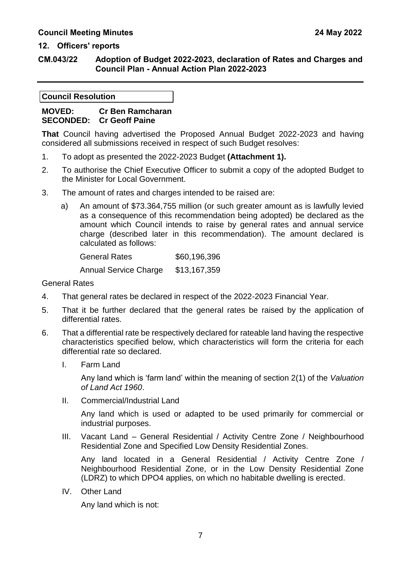#### **CM.043/22 Adoption of Budget 2022-2023, declaration of Rates and Charges and Council Plan - Annual Action Plan 2022-2023**

#### **Council Resolution**

#### **MOVED: Cr Ben Ramcharan SECONDED: Cr Geoff Paine**

**That** Council having advertised the Proposed Annual Budget 2022-2023 and having considered all submissions received in respect of such Budget resolves:

- 1. To adopt as presented the 2022-2023 Budget **(Attachment 1).**
- 2. To authorise the Chief Executive Officer to submit a copy of the adopted Budget to the Minister for Local Government.
- 3. The amount of rates and charges intended to be raised are:
	- a) An amount of \$73.364,755 million (or such greater amount as is lawfully levied as a consequence of this recommendation being adopted) be declared as the amount which Council intends to raise by general rates and annual service charge (described later in this recommendation). The amount declared is calculated as follows:

General Rates \$60,196,396 Annual Service Charge \$13,167,359

General Rates

- 4. That general rates be declared in respect of the 2022-2023 Financial Year.
- 5. That it be further declared that the general rates be raised by the application of differential rates.
- 6. That a differential rate be respectively declared for rateable land having the respective characteristics specified below, which characteristics will form the criteria for each differential rate so declared.
	- I. Farm Land

Any land which is 'farm land' within the meaning of section 2(1) of the *Valuation of Land Act 1960*.

II. Commercial/Industrial Land

Any land which is used or adapted to be used primarily for commercial or industrial purposes.

III. Vacant Land – General Residential / Activity Centre Zone / Neighbourhood Residential Zone and Specified Low Density Residential Zones.

Any land located in a General Residential / Activity Centre Zone / Neighbourhood Residential Zone, or in the Low Density Residential Zone (LDRZ) to which DPO4 applies, on which no habitable dwelling is erected.

IV. Other Land

Any land which is not: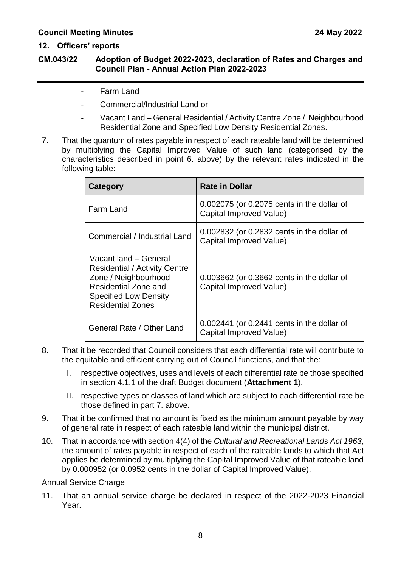#### **CM.043/22 Adoption of Budget 2022-2023, declaration of Rates and Charges and Council Plan - Annual Action Plan 2022-2023**

- Farm Land
- Commercial/Industrial Land or
- Vacant Land General Residential / Activity Centre Zone / Neighbourhood Residential Zone and Specified Low Density Residential Zones.
- 7. That the quantum of rates payable in respect of each rateable land will be determined by multiplying the Capital Improved Value of such land (categorised by the characteristics described in point 6. above) by the relevant rates indicated in the following table:

| Category                                                                                                                                                                  | <b>Rate in Dollar</b>                                                     |
|---------------------------------------------------------------------------------------------------------------------------------------------------------------------------|---------------------------------------------------------------------------|
| Farm Land                                                                                                                                                                 | 0.002075 (or 0.2075 cents in the dollar of<br>Capital Improved Value)     |
| Commercial / Industrial Land                                                                                                                                              | 0.002832 (or 0.2832 cents in the dollar of<br>Capital Improved Value)     |
| Vacant land - General<br><b>Residential / Activity Centre</b><br>Zone / Neighbourhood<br>Residential Zone and<br><b>Specified Low Density</b><br><b>Residential Zones</b> | 0.003662 (or 0.3662 cents in the dollar of<br>Capital Improved Value)     |
| General Rate / Other Land                                                                                                                                                 | $0.002441$ (or $0.2441$ cents in the dollar of<br>Capital Improved Value) |

- 8. That it be recorded that Council considers that each differential rate will contribute to the equitable and efficient carrying out of Council functions, and that the:
	- I. respective objectives, uses and levels of each differential rate be those specified in section 4.1.1 of the draft Budget document (**Attachment 1**).
	- II. respective types or classes of land which are subject to each differential rate be those defined in part 7. above.
- 9. That it be confirmed that no amount is fixed as the minimum amount payable by way of general rate in respect of each rateable land within the municipal district.
- 10. That in accordance with section 4(4) of the *Cultural and Recreational Lands Act 1963*, the amount of rates payable in respect of each of the rateable lands to which that Act applies be determined by multiplying the Capital Improved Value of that rateable land by 0.000952 (or 0.0952 cents in the dollar of Capital Improved Value).

Annual Service Charge

11. That an annual service charge be declared in respect of the 2022-2023 Financial Year.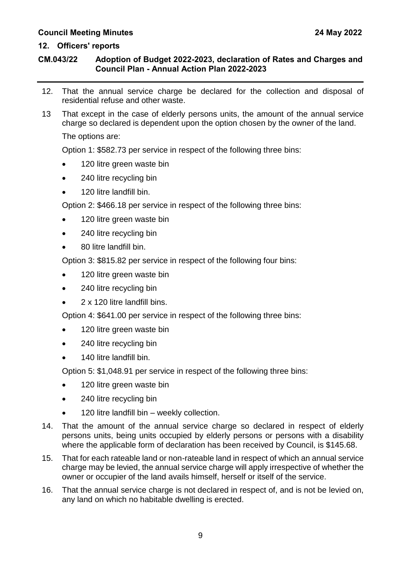#### **12. Officers' reports**

#### **CM.043/22 Adoption of Budget 2022-2023, declaration of Rates and Charges and Council Plan - Annual Action Plan 2022-2023**

- 12. That the annual service charge be declared for the collection and disposal of residential refuse and other waste.
- 13 That except in the case of elderly persons units, the amount of the annual service charge so declared is dependent upon the option chosen by the owner of the land.

The options are:

Option 1: \$582.73 per service in respect of the following three bins:

- 120 litre green waste bin
- 240 litre recycling bin
- 120 litre landfill bin.

Option 2: \$466.18 per service in respect of the following three bins:

- 120 litre green waste bin
- 240 litre recycling bin
- 80 litre landfill bin.

Option 3: \$815.82 per service in respect of the following four bins:

- 120 litre green waste bin
- 240 litre recycling bin
- 2 x 120 litre landfill bins.

Option 4: \$641.00 per service in respect of the following three bins:

- 120 litre green waste bin
- 240 litre recycling bin
- 140 litre landfill bin.

Option 5: \$1,048.91 per service in respect of the following three bins:

- 120 litre green waste bin
- 240 litre recycling bin
- 120 litre landfill bin weekly collection.
- 14. That the amount of the annual service charge so declared in respect of elderly persons units, being units occupied by elderly persons or persons with a disability where the applicable form of declaration has been received by Council, is \$145.68.
- 15. That for each rateable land or non-rateable land in respect of which an annual service charge may be levied, the annual service charge will apply irrespective of whether the owner or occupier of the land avails himself, herself or itself of the service.
- 16. That the annual service charge is not declared in respect of, and is not be levied on, any land on which no habitable dwelling is erected.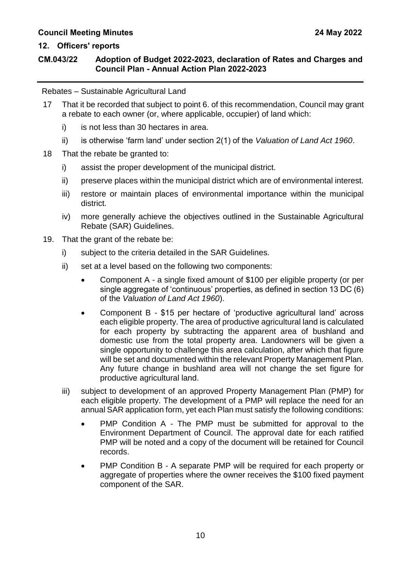#### **CM.043/22 Adoption of Budget 2022-2023, declaration of Rates and Charges and Council Plan - Annual Action Plan 2022-2023**

Rebates – Sustainable Agricultural Land

- 17 That it be recorded that subject to point 6. of this recommendation, Council may grant a rebate to each owner (or, where applicable, occupier) of land which:
	- i) is not less than 30 hectares in area.
	- ii) is otherwise 'farm land' under section 2(1) of the *Valuation of Land Act 1960*.
- 18 That the rebate be granted to:
	- i) assist the proper development of the municipal district.
	- ii) preserve places within the municipal district which are of environmental interest.
	- iii) restore or maintain places of environmental importance within the municipal district.
	- iv) more generally achieve the objectives outlined in the Sustainable Agricultural Rebate (SAR) Guidelines.
- 19. That the grant of the rebate be:
	- i) subject to the criteria detailed in the SAR Guidelines.
	- ii) set at a level based on the following two components:
		- Component A a single fixed amount of \$100 per eligible property (or per single aggregate of 'continuous' properties, as defined in section 13 DC (6) of the *Valuation of Land Act 1960*).
		- Component B \$15 per hectare of 'productive agricultural land' across each eligible property. The area of productive agricultural land is calculated for each property by subtracting the apparent area of bushland and domestic use from the total property area. Landowners will be given a single opportunity to challenge this area calculation, after which that figure will be set and documented within the relevant Property Management Plan. Any future change in bushland area will not change the set figure for productive agricultural land.
	- iii) subject to development of an approved Property Management Plan (PMP) for each eligible property. The development of a PMP will replace the need for an annual SAR application form, yet each Plan must satisfy the following conditions:
		- PMP Condition A The PMP must be submitted for approval to the Environment Department of Council. The approval date for each ratified PMP will be noted and a copy of the document will be retained for Council records.
		- PMP Condition B A separate PMP will be required for each property or aggregate of properties where the owner receives the \$100 fixed payment component of the SAR.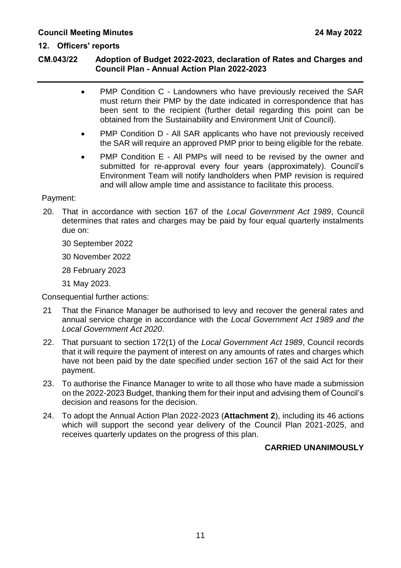#### **CM.043/22 Adoption of Budget 2022-2023, declaration of Rates and Charges and Council Plan - Annual Action Plan 2022-2023**

- PMP Condition C Landowners who have previously received the SAR must return their PMP by the date indicated in correspondence that has been sent to the recipient (further detail regarding this point can be obtained from the Sustainability and Environment Unit of Council).
- PMP Condition D All SAR applicants who have not previously received the SAR will require an approved PMP prior to being eligible for the rebate.
- PMP Condition E All PMPs will need to be revised by the owner and submitted for re-approval every four years (approximately). Council's Environment Team will notify landholders when PMP revision is required and will allow ample time and assistance to facilitate this process.

#### Payment:

- 20. That in accordance with section 167 of the *Local Government Act 1989*, Council determines that rates and charges may be paid by four equal quarterly instalments due on:
	- 30 September 2022
	- 30 November 2022
	- 28 February 2023
	- 31 May 2023.

Consequential further actions:

- 21 That the Finance Manager be authorised to levy and recover the general rates and annual service charge in accordance with the *Local Government Act 1989 and the Local Government Act 2020*.
- 22. That pursuant to section 172(1) of the *Local Government Act 1989*, Council records that it will require the payment of interest on any amounts of rates and charges which have not been paid by the date specified under section 167 of the said Act for their payment.
- 23. To authorise the Finance Manager to write to all those who have made a submission on the 2022-2023 Budget, thanking them for their input and advising them of Council's decision and reasons for the decision.
- 24. To adopt the Annual Action Plan 2022-2023 (**Attachment 2**), including its 46 actions which will support the second year delivery of the Council Plan 2021-2025, and receives quarterly updates on the progress of this plan.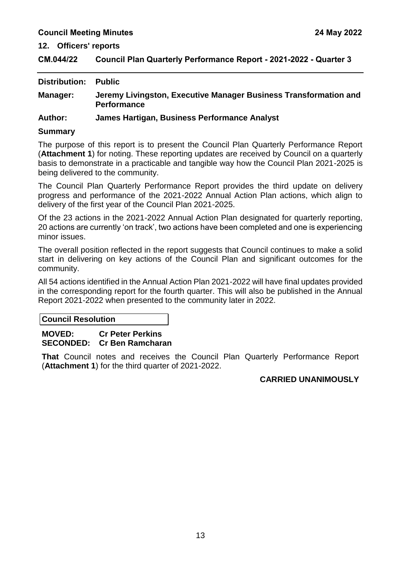<span id="page-15-0"></span>**CM.044/22 Council Plan Quarterly Performance Report - 2021-2022 - Quarter 3**

| <b>Distribution:</b> | Public                                                                                 |
|----------------------|----------------------------------------------------------------------------------------|
| Manager:             | Jeremy Livingston, Executive Manager Business Transformation and<br><b>Performance</b> |
| <b>Author:</b>       | James Hartigan, Business Performance Analyst                                           |

#### **Summary**

The purpose of this report is to present the Council Plan Quarterly Performance Report (**Attachment 1**) for noting. These reporting updates are received by Council on a quarterly basis to demonstrate in a practicable and tangible way how the Council Plan 2021-2025 is being delivered to the community.

The Council Plan Quarterly Performance Report provides the third update on delivery progress and performance of the 2021-2022 Annual Action Plan actions, which align to delivery of the first year of the Council Plan 2021-2025.

Of the 23 actions in the 2021-2022 Annual Action Plan designated for quarterly reporting, 20 actions are currently 'on track', two actions have been completed and one is experiencing minor issues.

The overall position reflected in the report suggests that Council continues to make a solid start in delivering on key actions of the Council Plan and significant outcomes for the community.

All 54 actions identified in the Annual Action Plan 2021-2022 will have final updates provided in the corresponding report for the fourth quarter. This will also be published in the Annual Report 2021-2022 when presented to the community later in 2022.

**Council Resolution**

#### **MOVED: Cr Peter Perkins SECONDED: Cr Ben Ramcharan**

**That** Council notes and receives the Council Plan Quarterly Performance Report (**Attachment 1**) for the third quarter of 2021-2022.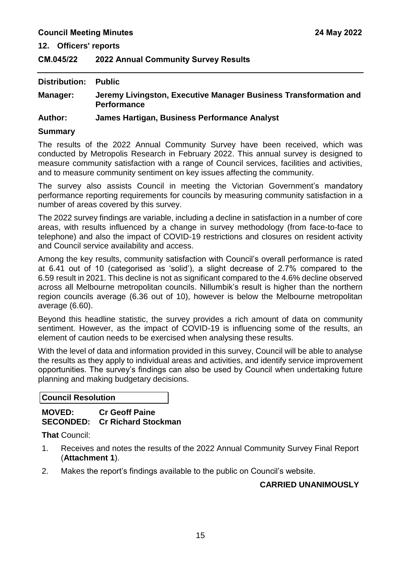### <span id="page-17-0"></span>**CM.045/22 2022 Annual Community Survey Results**

| <b>Distribution: Public</b> |                                                                                        |
|-----------------------------|----------------------------------------------------------------------------------------|
| <b>Manager:</b>             | Jeremy Livingston, Executive Manager Business Transformation and<br><b>Performance</b> |

#### **Author: James Hartigan, Business Performance Analyst**

#### **Summary**

The results of the 2022 Annual Community Survey have been received, which was conducted by Metropolis Research in February 2022. This annual survey is designed to measure community satisfaction with a range of Council services, facilities and activities, and to measure community sentiment on key issues affecting the community.

The survey also assists Council in meeting the Victorian Government's mandatory performance reporting requirements for councils by measuring community satisfaction in a number of areas covered by this survey.

The 2022 survey findings are variable, including a decline in satisfaction in a number of core areas, with results influenced by a change in survey methodology (from face-to-face to telephone) and also the impact of COVID-19 restrictions and closures on resident activity and Council service availability and access.

Among the key results, community satisfaction with Council's overall performance is rated at 6.41 out of 10 (categorised as 'solid'), a slight decrease of 2.7% compared to the 6.59 result in 2021. This decline is not as significant compared to the 4.6% decline observed across all Melbourne metropolitan councils. Nillumbik's result is higher than the northern region councils average (6.36 out of 10), however is below the Melbourne metropolitan average (6.60).

Beyond this headline statistic, the survey provides a rich amount of data on community sentiment. However, as the impact of COVID-19 is influencing some of the results, an element of caution needs to be exercised when analysing these results.

With the level of data and information provided in this survey, Council will be able to analyse the results as they apply to individual areas and activities, and identify service improvement opportunities. The survey's findings can also be used by Council when undertaking future planning and making budgetary decisions.

**Council Resolution**

#### **MOVED: Cr Geoff Paine SECONDED: Cr Richard Stockman**

**That** Council:

- 1. Receives and notes the results of the 2022 Annual Community Survey Final Report (**Attachment 1**).
- 2. Makes the report's findings available to the public on Council's website.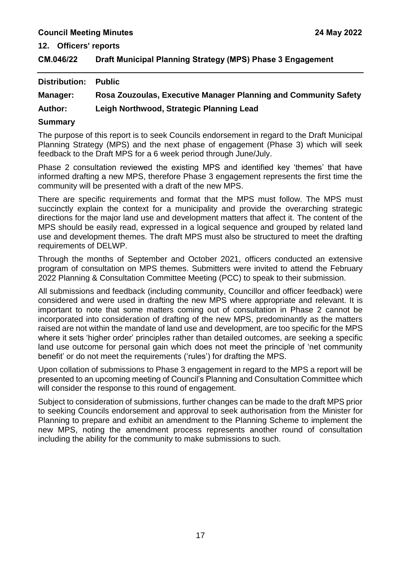**12. Officers' reports**

<span id="page-19-0"></span>

| CM.046/22 | Draft Municipal Planning Strategy (MPS) Phase 3 Engagement |
|-----------|------------------------------------------------------------|
|-----------|------------------------------------------------------------|

| <b>Distribution:</b> | <b>Public</b>                                                   |
|----------------------|-----------------------------------------------------------------|
| <b>Manager:</b>      | Rosa Zouzoulas, Executive Manager Planning and Community Safety |
| <b>Author:</b>       | Leigh Northwood, Strategic Planning Lead                        |

#### **Summary**

The purpose of this report is to seek Councils endorsement in regard to the Draft Municipal Planning Strategy (MPS) and the next phase of engagement (Phase 3) which will seek feedback to the Draft MPS for a 6 week period through June/July.

Phase 2 consultation reviewed the existing MPS and identified key 'themes' that have informed drafting a new MPS, therefore Phase 3 engagement represents the first time the community will be presented with a draft of the new MPS.

There are specific requirements and format that the MPS must follow. The MPS must succinctly explain the context for a municipality and provide the overarching strategic directions for the major land use and development matters that affect it. The content of the MPS should be easily read, expressed in a logical sequence and grouped by related land use and development themes. The draft MPS must also be structured to meet the drafting requirements of DELWP.

Through the months of September and October 2021, officers conducted an extensive program of consultation on MPS themes. Submitters were invited to attend the February 2022 Planning & Consultation Committee Meeting (PCC) to speak to their submission.

All submissions and feedback (including community, Councillor and officer feedback) were considered and were used in drafting the new MPS where appropriate and relevant. It is important to note that some matters coming out of consultation in Phase 2 cannot be incorporated into consideration of drafting of the new MPS, predominantly as the matters raised are not within the mandate of land use and development, are too specific for the MPS where it sets 'higher order' principles rather than detailed outcomes, are seeking a specific land use outcome for personal gain which does not meet the principle of 'net community benefit' or do not meet the requirements ('rules') for drafting the MPS.

Upon collation of submissions to Phase 3 engagement in regard to the MPS a report will be presented to an upcoming meeting of Council's Planning and Consultation Committee which will consider the response to this round of engagement.

Subject to consideration of submissions, further changes can be made to the draft MPS prior to seeking Councils endorsement and approval to seek authorisation from the Minister for Planning to prepare and exhibit an amendment to the Planning Scheme to implement the new MPS, noting the amendment process represents another round of consultation including the ability for the community to make submissions to such.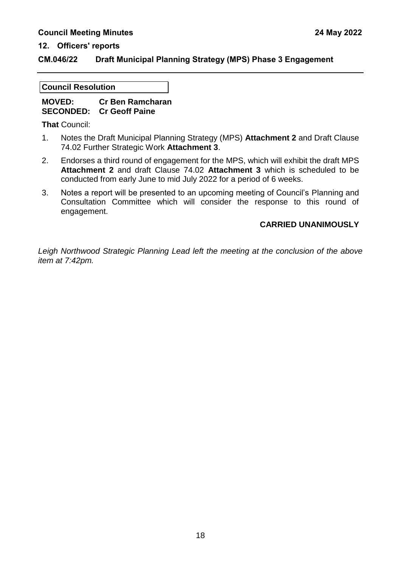#### **CM.046/22 Draft Municipal Planning Strategy (MPS) Phase 3 Engagement**

#### **Council Resolution**

#### **MOVED: Cr Ben Ramcharan SECONDED: Cr Geoff Paine**

**That** Council:

- 1. Notes the Draft Municipal Planning Strategy (MPS) **Attachment 2** and Draft Clause 74.02 Further Strategic Work **Attachment 3**.
- 2. Endorses a third round of engagement for the MPS, which will exhibit the draft MPS **Attachment 2** and draft Clause 74.02 **Attachment 3** which is scheduled to be conducted from early June to mid July 2022 for a period of 6 weeks.
- 3. Notes a report will be presented to an upcoming meeting of Council's Planning and Consultation Committee which will consider the response to this round of engagement.

#### **CARRIED UNANIMOUSLY**

*Leigh Northwood Strategic Planning Lead left the meeting at the conclusion of the above item at 7:42pm.*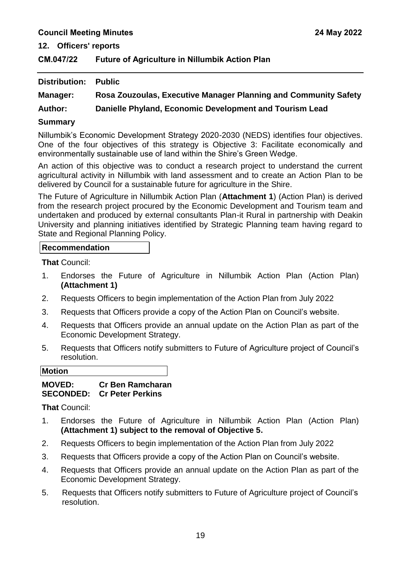**12. Officers' reports**

<span id="page-21-0"></span>**CM.047/22 Future of Agriculture in Nillumbik Action Plan**

| Distribution:  | <b>Public</b>                                                   |
|----------------|-----------------------------------------------------------------|
| Manager:       | Rosa Zouzoulas, Executive Manager Planning and Community Safety |
| <b>Author:</b> | Danielle Phyland, Economic Development and Tourism Lead         |

#### **Summary**

Nillumbik's Economic Development Strategy 2020-2030 (NEDS) identifies four objectives. One of the four objectives of this strategy is Objective 3: Facilitate economically and environmentally sustainable use of land within the Shire's Green Wedge.

An action of this objective was to conduct a research project to understand the current agricultural activity in Nillumbik with land assessment and to create an Action Plan to be delivered by Council for a sustainable future for agriculture in the Shire.

The Future of Agriculture in Nillumbik Action Plan (**Attachment 1**) (Action Plan) is derived from the research project procured by the Economic Development and Tourism team and undertaken and produced by external consultants Plan-it Rural in partnership with Deakin University and planning initiatives identified by Strategic Planning team having regard to State and Regional Planning Policy.

#### **Recommendation**

**That** Council:

- 1. Endorses the Future of Agriculture in Nillumbik Action Plan (Action Plan) **(Attachment 1)**
- 2. Requests Officers to begin implementation of the Action Plan from July 2022
- 3. Requests that Officers provide a copy of the Action Plan on Council's website.
- 4. Requests that Officers provide an annual update on the Action Plan as part of the Economic Development Strategy.
- 5. Requests that Officers notify submitters to Future of Agriculture project of Council's resolution.

**Motion**

#### **MOVED: Cr Ben Ramcharan SECONDED: Cr Peter Perkins**

**That** Council:

- 1. Endorses the Future of Agriculture in Nillumbik Action Plan (Action Plan) **(Attachment 1) subject to the removal of Objective 5.**
- 2. Requests Officers to begin implementation of the Action Plan from July 2022
- 3. Requests that Officers provide a copy of the Action Plan on Council's website.
- 4. Requests that Officers provide an annual update on the Action Plan as part of the Economic Development Strategy.
- 5. Requests that Officers notify submitters to Future of Agriculture project of Council's resolution.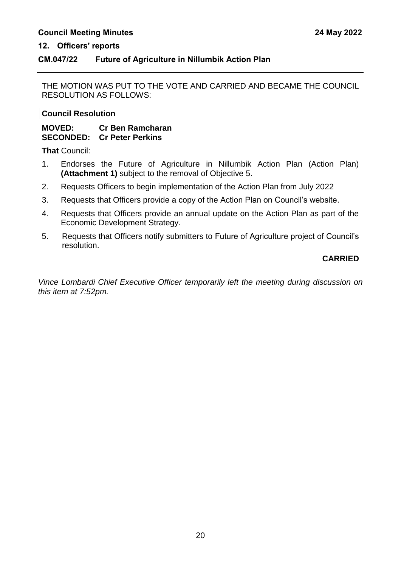#### **CM.047/22 Future of Agriculture in Nillumbik Action Plan**

THE MOTION WAS PUT TO THE VOTE AND CARRIED AND BECAME THE COUNCIL RESOLUTION AS FOLLOWS:

**Council Resolution**

**MOVED: Cr Ben Ramcharan SECONDED: Cr Peter Perkins** 

**That** Council:

- 1. Endorses the Future of Agriculture in Nillumbik Action Plan (Action Plan) **(Attachment 1)** subject to the removal of Objective 5.
- 2. Requests Officers to begin implementation of the Action Plan from July 2022
- 3. Requests that Officers provide a copy of the Action Plan on Council's website.
- 4. Requests that Officers provide an annual update on the Action Plan as part of the Economic Development Strategy.
- 5. Requests that Officers notify submitters to Future of Agriculture project of Council's resolution.

#### **CARRIED**

*Vince Lombardi Chief Executive Officer temporarily left the meeting during discussion on this item at 7:52pm.*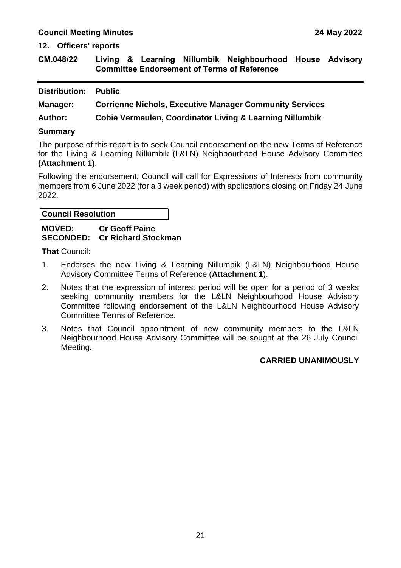**12. Officers' reports**

<span id="page-23-0"></span>**CM.048/22 Living & Learning Nillumbik Neighbourhood House Advisory Committee Endorsement of Terms of Reference**

| <b>Distribution:</b> | <b>Public</b> |
|----------------------|---------------|
|----------------------|---------------|

**Manager: Corrienne Nichols, Executive Manager Community Services**

**Author: Cobie Vermeulen, Coordinator Living & Learning Nillumbik** 

#### **Summary**

The purpose of this report is to seek Council endorsement on the new Terms of Reference for the Living & Learning Nillumbik (L&LN) Neighbourhood House Advisory Committee **(Attachment 1)**.

Following the endorsement, Council will call for Expressions of Interests from community members from 6 June 2022 (for a 3 week period) with applications closing on Friday 24 June 2022.

#### **Council Resolution**

#### **MOVED: Cr Geoff Paine SECONDED: Cr Richard Stockman**

**That** Council:

- 1. Endorses the new Living & Learning Nillumbik (L&LN) Neighbourhood House Advisory Committee Terms of Reference (**Attachment 1**).
- 2. Notes that the expression of interest period will be open for a period of 3 weeks seeking community members for the L&LN Neighbourhood House Advisory Committee following endorsement of the L&LN Neighbourhood House Advisory Committee Terms of Reference.
- 3. Notes that Council appointment of new community members to the L&LN Neighbourhood House Advisory Committee will be sought at the 26 July Council Meeting.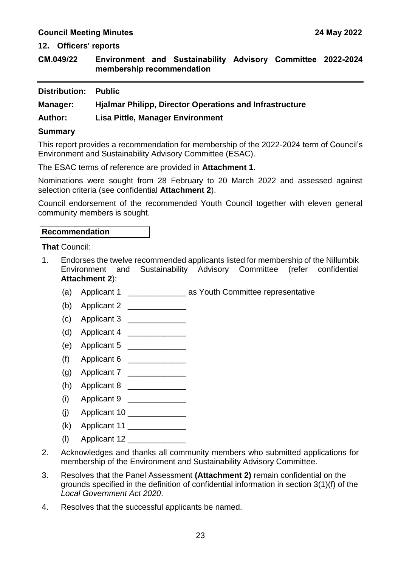**12. Officers' reports**

<span id="page-25-0"></span>**CM.049/22 Environment and Sustainability Advisory Committee 2022-2024 membership recommendation**

| <b>Distribution:</b> | <b>Public</b> |
|----------------------|---------------|
|                      |               |

**Manager: Hjalmar Philipp, Director Operations and Infrastructure**

**Author: Lisa Pittle, Manager Environment**

#### **Summary**

This report provides a recommendation for membership of the 2022-2024 term of Council's Environment and Sustainability Advisory Committee (ESAC).

The ESAC terms of reference are provided in **Attachment 1**.

Nominations were sought from 28 February to 20 March 2022 and assessed against selection criteria (see confidential **Attachment 2**).

Council endorsement of the recommended Youth Council together with eleven general community members is sought.

#### **Recommendation**

**That** Council:

- 1. Endorses the twelve recommended applicants listed for membership of the Nillumbik Environment and Sustainability Advisory Committee (refer confidential **Attachment 2**):
	- (a) Applicant 1 **as Youth Committee representative**
	- (b) Applicant 2 \_\_\_\_\_\_\_\_\_\_\_\_\_
	- $(c)$  Applicant 3
	- (d) Applicant 4 \_\_\_\_\_\_\_\_\_\_\_\_\_
	- (e) Applicant 5 \_\_\_\_\_\_\_\_\_\_\_\_\_\_
	- (f) Applicant 6 \_\_\_\_\_\_\_\_\_\_\_\_\_
	- (g) Applicant  $7$
	- (h) Applicant  $8 \_$
	- (i) Applicant 9
	- (j) Applicant 10 \_\_\_\_\_\_\_\_\_\_\_\_\_
	- $(k)$  Applicant 11
	- $\langle \mathsf{I} \rangle$  Applicant 12
- 2. Acknowledges and thanks all community members who submitted applications for membership of the Environment and Sustainability Advisory Committee.
- 3. Resolves that the Panel Assessment **(Attachment 2)** remain confidential on the grounds specified in the definition of confidential information in section 3(1)(f) of the *Local Government Act 2020*.
- 4. Resolves that the successful applicants be named.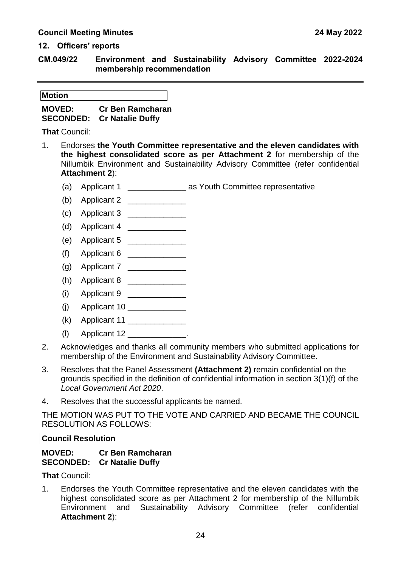**CM.049/22 Environment and Sustainability Advisory Committee 2022-2024 membership recommendation**

**Motion**

**MOVED: Cr Ben Ramcharan SECONDED: Cr Natalie Duffy**

**That** Council:

- 1. Endorses **the Youth Committee representative and the eleven candidates with the highest consolidated score as per Attachment 2** for membership of the Nillumbik Environment and Sustainability Advisory Committee (refer confidential **Attachment 2**):
	- (a) Applicant 1 \_\_\_\_\_\_\_\_\_\_\_\_\_\_\_\_\_ as Youth Committee representative
	- (b) Applicant 2 \_\_\_\_\_\_\_\_\_\_\_\_\_\_
	- (c) Applicant 3 \_\_\_\_\_\_\_\_\_\_\_\_\_
	- (d) Applicant 4  $\frac{1}{2}$
	- (e) Applicant 5 \_\_\_\_\_\_\_\_\_\_\_\_\_
	- (f) Applicant 6 \_\_\_\_\_\_\_\_\_\_\_\_\_
	- (g) Applicant 7  $\frac{1}{2}$
	- (h) Applicant 8 \_\_\_\_\_\_\_\_\_\_\_\_\_\_
	- (i) Applicant 9  $\frac{1}{2}$  Applicant 9  $\frac{1}{2}$
	- (j) Applicant 10 \_\_\_\_\_\_\_\_\_\_\_\_\_
	- (k) Applicant 11 \_\_\_\_\_\_\_\_\_\_\_\_\_
	- $(l)$  Applicant 12  $\ldots$
- 2. Acknowledges and thanks all community members who submitted applications for membership of the Environment and Sustainability Advisory Committee.
- 3. Resolves that the Panel Assessment **(Attachment 2)** remain confidential on the grounds specified in the definition of confidential information in section 3(1)(f) of the *Local Government Act 2020*.
- 4. Resolves that the successful applicants be named.

THE MOTION WAS PUT TO THE VOTE AND CARRIED AND BECAME THE COUNCIL RESOLUTION AS FOLLOWS:

**Council Resolution**

#### **MOVED: Cr Ben Ramcharan SECONDED: Cr Natalie Duffy**

**That** Council:

1. Endorses the Youth Committee representative and the eleven candidates with the highest consolidated score as per Attachment 2 for membership of the Nillumbik Environment and Sustainability Advisory Committee (refer confidential **Attachment 2**):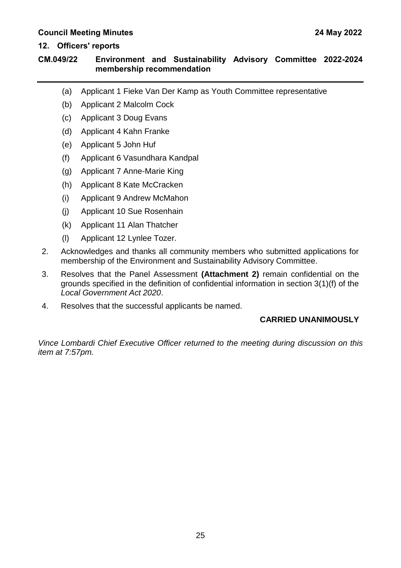#### **12. Officers' reports**

#### **CM.049/22 Environment and Sustainability Advisory Committee 2022-2024 membership recommendation**

- (a) Applicant 1 Fieke Van Der Kamp as Youth Committee representative
- (b) Applicant 2 Malcolm Cock
- (c) Applicant 3 Doug Evans
- (d) Applicant 4 Kahn Franke
- (e) Applicant 5 John Huf
- (f) Applicant 6 Vasundhara Kandpal
- (g) Applicant 7 Anne-Marie King
- (h) Applicant 8 Kate McCracken
- (i) Applicant 9 Andrew McMahon
- (j) Applicant 10 Sue Rosenhain
- (k) Applicant 11 Alan Thatcher
- (l) Applicant 12 Lynlee Tozer.
- 2. Acknowledges and thanks all community members who submitted applications for membership of the Environment and Sustainability Advisory Committee.
- 3. Resolves that the Panel Assessment **(Attachment 2)** remain confidential on the grounds specified in the definition of confidential information in section 3(1)(f) of the *Local Government Act 2020*.
- 4. Resolves that the successful applicants be named.

#### **CARRIED UNANIMOUSLY**

*Vince Lombardi Chief Executive Officer returned to the meeting during discussion on this item at 7:57pm.*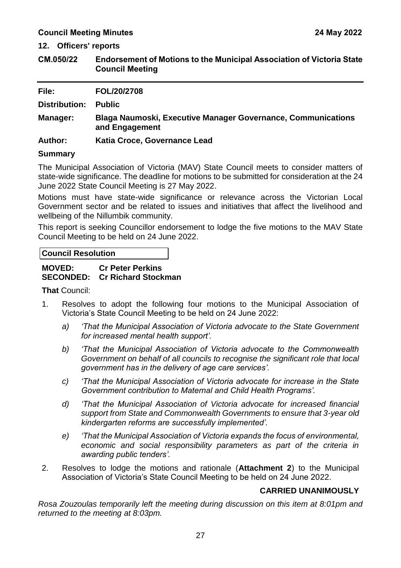**12. Officers' reports**

<span id="page-29-0"></span>**CM.050/22 Endorsement of Motions to the Municipal Association of Victoria State Council Meeting**

| File:                | FOL/20/2708                                                                           |
|----------------------|---------------------------------------------------------------------------------------|
| <b>Distribution:</b> | <b>Public</b>                                                                         |
| Manager:             | <b>Blaga Naumoski, Executive Manager Governance, Communications</b><br>and Engagement |
| <b>Author:</b>       | Katia Croce, Governance Lead                                                          |
| <b>A</b>             |                                                                                       |

#### **Summary**

The Municipal Association of Victoria (MAV) State Council meets to consider matters of state-wide significance. The deadline for motions to be submitted for consideration at the 24 June 2022 State Council Meeting is 27 May 2022.

Motions must have state-wide significance or relevance across the Victorian Local Government sector and be related to issues and initiatives that affect the livelihood and wellbeing of the Nillumbik community.

This report is seeking Councillor endorsement to lodge the five motions to the MAV State Council Meeting to be held on 24 June 2022.

#### **Council Resolution**

#### **MOVED: Cr Peter Perkins SECONDED: Cr Richard Stockman**

#### **That** Council:

- 1. Resolves to adopt the following four motions to the Municipal Association of Victoria's State Council Meeting to be held on 24 June 2022:
	- *a) 'That the Municipal Association of Victoria advocate to the State Government for increased mental health support'.*
	- *b) 'That the Municipal Association of Victoria advocate to the Commonwealth Government on behalf of all councils to recognise the significant role that local government has in the delivery of age care services'.*
	- *c) 'That the Municipal Association of Victoria advocate for increase in the State Government contribution to Maternal and Child Health Programs'.*
	- *d) 'That the Municipal Association of Victoria advocate for increased financial support from State and Commonwealth Governments to ensure that 3-year old kindergarten reforms are successfully implemented'.*
	- *e) 'That the Municipal Association of Victoria expands the focus of environmental, economic and social responsibility parameters as part of the criteria in awarding public tenders'.*
- 2. Resolves to lodge the motions and rationale (**Attachment 2**) to the Municipal Association of Victoria's State Council Meeting to be held on 24 June 2022.

#### **CARRIED UNANIMOUSLY**

*Rosa Zouzoulas temporarily left the meeting during discussion on this item at 8:01pm and returned to the meeting at 8:03pm.*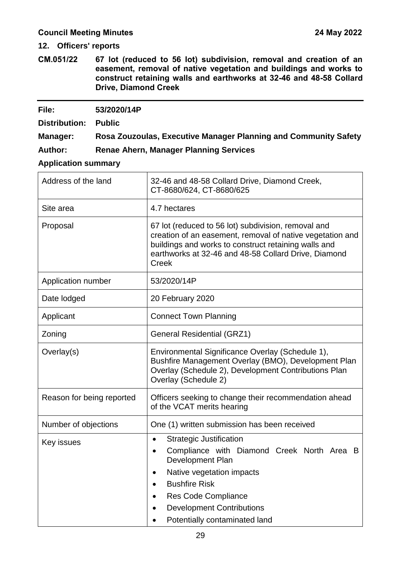**12. Officers' reports**

<span id="page-31-0"></span>**CM.051/22 67 lot (reduced to 56 lot) subdivision, removal and creation of an easement, removal of native vegetation and buildings and works to construct retaining walls and earthworks at 32-46 and 48-58 Collard Drive, Diamond Creek**

#### **File: 53/2020/14P**

**Distribution: Public**

**Manager: Rosa Zouzoulas, Executive Manager Planning and Community Safety**

**Author: Renae Ahern, Manager Planning Services** 

#### **Application summary**

| Address of the land       | 32-46 and 48-58 Collard Drive, Diamond Creek,<br>CT-8680/624, CT-8680/625                                                                                                                                                                                                                                    |  |
|---------------------------|--------------------------------------------------------------------------------------------------------------------------------------------------------------------------------------------------------------------------------------------------------------------------------------------------------------|--|
| Site area                 | 4.7 hectares                                                                                                                                                                                                                                                                                                 |  |
| Proposal                  | 67 lot (reduced to 56 lot) subdivision, removal and<br>creation of an easement, removal of native vegetation and<br>buildings and works to construct retaining walls and<br>earthworks at 32-46 and 48-58 Collard Drive, Diamond<br><b>Creek</b>                                                             |  |
| Application number        | 53/2020/14P                                                                                                                                                                                                                                                                                                  |  |
| Date lodged               | 20 February 2020                                                                                                                                                                                                                                                                                             |  |
| Applicant                 | <b>Connect Town Planning</b>                                                                                                                                                                                                                                                                                 |  |
| Zoning                    | <b>General Residential (GRZ1)</b>                                                                                                                                                                                                                                                                            |  |
| Overlay(s)                | Environmental Significance Overlay (Schedule 1),<br>Bushfire Management Overlay (BMO), Development Plan<br>Overlay (Schedule 2), Development Contributions Plan<br>Overlay (Schedule 2)                                                                                                                      |  |
| Reason for being reported | Officers seeking to change their recommendation ahead<br>of the VCAT merits hearing                                                                                                                                                                                                                          |  |
| Number of objections      | One (1) written submission has been received                                                                                                                                                                                                                                                                 |  |
| Key issues                | <b>Strategic Justification</b><br>$\bullet$<br>Compliance with Diamond Creek North Area B<br>$\bullet$<br>Development Plan<br>Native vegetation impacts<br><b>Bushfire Risk</b><br>$\bullet$<br><b>Res Code Compliance</b><br>$\bullet$<br><b>Development Contributions</b><br>Potentially contaminated land |  |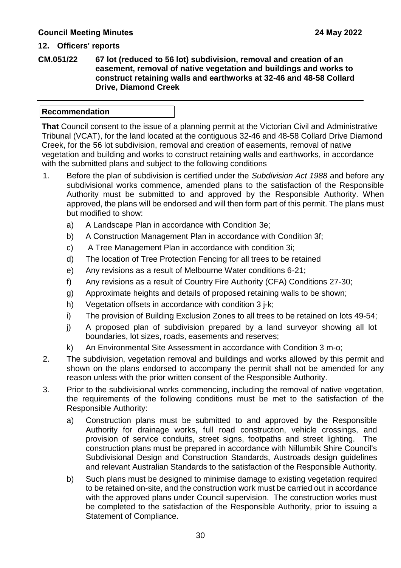**CM.051/22 67 lot (reduced to 56 lot) subdivision, removal and creation of an easement, removal of native vegetation and buildings and works to construct retaining walls and earthworks at 32-46 and 48-58 Collard Drive, Diamond Creek**

#### **Recommendation**

**That** Council consent to the issue of a planning permit at the Victorian Civil and Administrative Tribunal (VCAT), for the land located at the contiguous 32-46 and 48-58 Collard Drive Diamond Creek, for the 56 lot subdivision, removal and creation of easements, removal of native vegetation and building and works to construct retaining walls and earthworks, in accordance with the submitted plans and subject to the following conditions

- 1. Before the plan of subdivision is certified under the *Subdivision Act 1988* and before any subdivisional works commence, amended plans to the satisfaction of the Responsible Authority must be submitted to and approved by the Responsible Authority. When approved, the plans will be endorsed and will then form part of this permit. The plans must but modified to show:
	- a) A Landscape Plan in accordance with Condition 3e;
	- b) A Construction Management Plan in accordance with Condition 3f;
	- c) A Tree Management Plan in accordance with condition 3i;
	- d) The location of Tree Protection Fencing for all trees to be retained
	- e) Any revisions as a result of Melbourne Water conditions 6-21;
	- f) Any revisions as a result of Country Fire Authority (CFA) Conditions 27-30;
	- g) Approximate heights and details of proposed retaining walls to be shown;
	- h) Vegetation offsets in accordance with condition 3 j-k;
	- i) The provision of Building Exclusion Zones to all trees to be retained on lots 49-54;
	- j) A proposed plan of subdivision prepared by a land surveyor showing all lot boundaries, lot sizes, roads, easements and reserves;
	- k) An Environmental Site Assessment in accordance with Condition 3 m-o;
- 2. The subdivision, vegetation removal and buildings and works allowed by this permit and shown on the plans endorsed to accompany the permit shall not be amended for any reason unless with the prior written consent of the Responsible Authority.
- 3. Prior to the subdivisional works commencing, including the removal of native vegetation, the requirements of the following conditions must be met to the satisfaction of the Responsible Authority:
	- a) Construction plans must be submitted to and approved by the Responsible Authority for drainage works, full road construction, vehicle crossings, and provision of service conduits, street signs, footpaths and street lighting. The construction plans must be prepared in accordance with Nillumbik Shire Council's Subdivisional Design and Construction Standards, Austroads design guidelines and relevant Australian Standards to the satisfaction of the Responsible Authority.
	- b) Such plans must be designed to minimise damage to existing vegetation required to be retained on-site, and the construction work must be carried out in accordance with the approved plans under Council supervision. The construction works must be completed to the satisfaction of the Responsible Authority, prior to issuing a Statement of Compliance.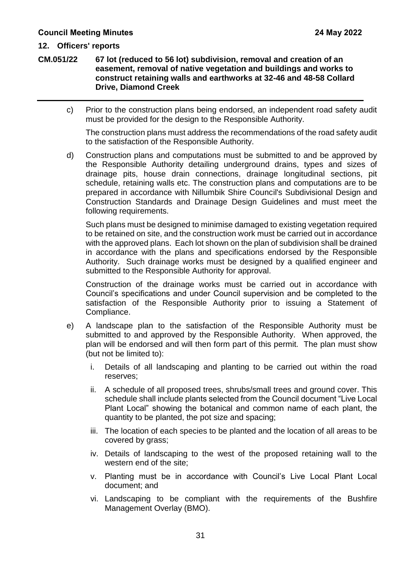**CM.051/22 67 lot (reduced to 56 lot) subdivision, removal and creation of an easement, removal of native vegetation and buildings and works to construct retaining walls and earthworks at 32-46 and 48-58 Collard Drive, Diamond Creek**

c) Prior to the construction plans being endorsed, an independent road safety audit must be provided for the design to the Responsible Authority.

The construction plans must address the recommendations of the road safety audit to the satisfaction of the Responsible Authority.

d) Construction plans and computations must be submitted to and be approved by the Responsible Authority detailing underground drains, types and sizes of drainage pits, house drain connections, drainage longitudinal sections, pit schedule, retaining walls etc. The construction plans and computations are to be prepared in accordance with Nillumbik Shire Council's Subdivisional Design and Construction Standards and Drainage Design Guidelines and must meet the following requirements.

Such plans must be designed to minimise damaged to existing vegetation required to be retained on site, and the construction work must be carried out in accordance with the approved plans. Each lot shown on the plan of subdivision shall be drained in accordance with the plans and specifications endorsed by the Responsible Authority. Such drainage works must be designed by a qualified engineer and submitted to the Responsible Authority for approval.

Construction of the drainage works must be carried out in accordance with Council's specifications and under Council supervision and be completed to the satisfaction of the Responsible Authority prior to issuing a Statement of Compliance.

- e) A landscape plan to the satisfaction of the Responsible Authority must be submitted to and approved by the Responsible Authority. When approved, the plan will be endorsed and will then form part of this permit. The plan must show (but not be limited to):
	- i. Details of all landscaping and planting to be carried out within the road reserves;
	- ii. A schedule of all proposed trees, shrubs/small trees and ground cover. This schedule shall include plants selected from the Council document "Live Local Plant Local" showing the botanical and common name of each plant, the quantity to be planted, the pot size and spacing;
	- iii. The location of each species to be planted and the location of all areas to be covered by grass;
	- iv. Details of landscaping to the west of the proposed retaining wall to the western end of the site;
	- v. Planting must be in accordance with Council's Live Local Plant Local document; and
	- vi. Landscaping to be compliant with the requirements of the Bushfire Management Overlay (BMO).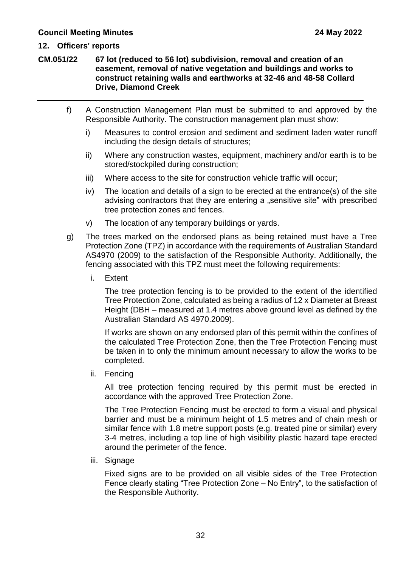**CM.051/22 67 lot (reduced to 56 lot) subdivision, removal and creation of an easement, removal of native vegetation and buildings and works to construct retaining walls and earthworks at 32-46 and 48-58 Collard Drive, Diamond Creek**

- f) A Construction Management Plan must be submitted to and approved by the Responsible Authority. The construction management plan must show:
	- i) Measures to control erosion and sediment and sediment laden water runoff including the design details of structures;
	- ii) Where any construction wastes, equipment, machinery and/or earth is to be stored/stockpiled during construction;
	- iii) Where access to the site for construction vehicle traffic will occur;
	- iv) The location and details of a sign to be erected at the entrance(s) of the site advising contractors that they are entering a "sensitive site" with prescribed tree protection zones and fences.
	- v) The location of any temporary buildings or yards.
- g) The trees marked on the endorsed plans as being retained must have a Tree Protection Zone (TPZ) in accordance with the requirements of Australian Standard AS4970 (2009) to the satisfaction of the Responsible Authority. Additionally, the fencing associated with this TPZ must meet the following requirements:
	- i. Extent

The tree protection fencing is to be provided to the extent of the identified Tree Protection Zone, calculated as being a radius of 12 x Diameter at Breast Height (DBH – measured at 1.4 metres above ground level as defined by the Australian Standard AS 4970.2009).

If works are shown on any endorsed plan of this permit within the confines of the calculated Tree Protection Zone, then the Tree Protection Fencing must be taken in to only the minimum amount necessary to allow the works to be completed.

ii. Fencing

All tree protection fencing required by this permit must be erected in accordance with the approved Tree Protection Zone.

The Tree Protection Fencing must be erected to form a visual and physical barrier and must be a minimum height of 1.5 metres and of chain mesh or similar fence with 1.8 metre support posts (e.g. treated pine or similar) every 3-4 metres, including a top line of high visibility plastic hazard tape erected around the perimeter of the fence.

iii. Signage

Fixed signs are to be provided on all visible sides of the Tree Protection Fence clearly stating "Tree Protection Zone – No Entry", to the satisfaction of the Responsible Authority.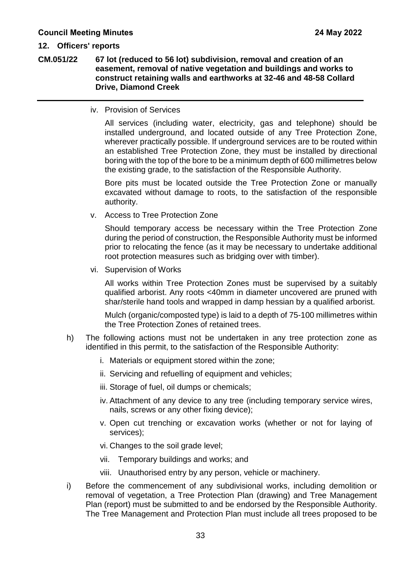**CM.051/22 67 lot (reduced to 56 lot) subdivision, removal and creation of an easement, removal of native vegetation and buildings and works to construct retaining walls and earthworks at 32-46 and 48-58 Collard Drive, Diamond Creek**

iv. Provision of Services

All services (including water, electricity, gas and telephone) should be installed underground, and located outside of any Tree Protection Zone, wherever practically possible. If underground services are to be routed within an established Tree Protection Zone, they must be installed by directional boring with the top of the bore to be a minimum depth of 600 millimetres below the existing grade, to the satisfaction of the Responsible Authority.

Bore pits must be located outside the Tree Protection Zone or manually excavated without damage to roots, to the satisfaction of the responsible authority.

v. Access to Tree Protection Zone

Should temporary access be necessary within the Tree Protection Zone during the period of construction, the Responsible Authority must be informed prior to relocating the fence (as it may be necessary to undertake additional root protection measures such as bridging over with timber).

vi. Supervision of Works

All works within Tree Protection Zones must be supervised by a suitably qualified arborist. Any roots <40mm in diameter uncovered are pruned with shar/sterile hand tools and wrapped in damp hessian by a qualified arborist.

Mulch (organic/composted type) is laid to a depth of 75-100 millimetres within the Tree Protection Zones of retained trees.

- h) The following actions must not be undertaken in any tree protection zone as identified in this permit, to the satisfaction of the Responsible Authority:
	- i. Materials or equipment stored within the zone;
	- ii. Servicing and refuelling of equipment and vehicles;
	- iii. Storage of fuel, oil dumps or chemicals;
	- iv. Attachment of any device to any tree (including temporary service wires, nails, screws or any other fixing device);
	- v. Open cut trenching or excavation works (whether or not for laying of services);
	- vi. Changes to the soil grade level;
	- vii. Temporary buildings and works; and
	- viii. Unauthorised entry by any person, vehicle or machinery.
- i) Before the commencement of any subdivisional works, including demolition or removal of vegetation, a Tree Protection Plan (drawing) and Tree Management Plan (report) must be submitted to and be endorsed by the Responsible Authority. The Tree Management and Protection Plan must include all trees proposed to be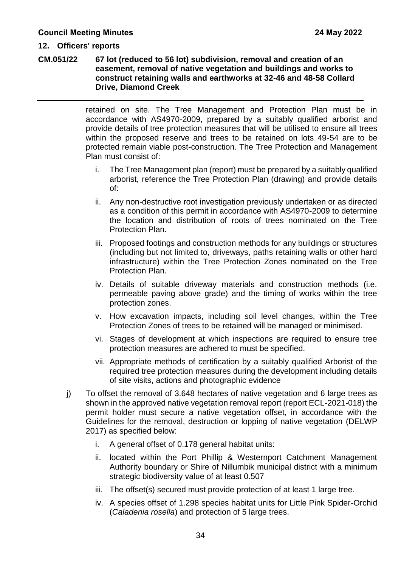#### **12. Officers' reports**

#### **CM.051/22 67 lot (reduced to 56 lot) subdivision, removal and creation of an easement, removal of native vegetation and buildings and works to construct retaining walls and earthworks at 32-46 and 48-58 Collard Drive, Diamond Creek**

retained on site. The Tree Management and Protection Plan must be in accordance with AS4970-2009, prepared by a suitably qualified arborist and provide details of tree protection measures that will be utilised to ensure all trees within the proposed reserve and trees to be retained on lots 49-54 are to be protected remain viable post-construction. The Tree Protection and Management Plan must consist of:

- i. The Tree Management plan (report) must be prepared by a suitably qualified arborist, reference the Tree Protection Plan (drawing) and provide details of:
- ii. Any non-destructive root investigation previously undertaken or as directed as a condition of this permit in accordance with AS4970-2009 to determine the location and distribution of roots of trees nominated on the Tree Protection Plan.
- iii. Proposed footings and construction methods for any buildings or structures (including but not limited to, driveways, paths retaining walls or other hard infrastructure) within the Tree Protection Zones nominated on the Tree Protection Plan.
- iv. Details of suitable driveway materials and construction methods (i.e. permeable paving above grade) and the timing of works within the tree protection zones.
- v. How excavation impacts, including soil level changes, within the Tree Protection Zones of trees to be retained will be managed or minimised.
- vi. Stages of development at which inspections are required to ensure tree protection measures are adhered to must be specified.
- vii. Appropriate methods of certification by a suitably qualified Arborist of the required tree protection measures during the development including details of site visits, actions and photographic evidence
- j) To offset the removal of 3.648 hectares of native vegetation and 6 large trees as shown in the approved native vegetation removal report (report ECL-2021-018) the permit holder must secure a native vegetation offset, in accordance with the Guidelines for the removal, destruction or lopping of native vegetation (DELWP 2017) as specified below:
	- i. A general offset of 0.178 general habitat units:
	- ii. located within the Port Phillip & Westernport Catchment Management Authority boundary or Shire of Nillumbik municipal district with a minimum strategic biodiversity value of at least 0.507
	- iii. The offset(s) secured must provide protection of at least 1 large tree.
	- iv. A species offset of 1.298 species habitat units for Little Pink Spider-Orchid (*Caladenia rosella*) and protection of 5 large trees.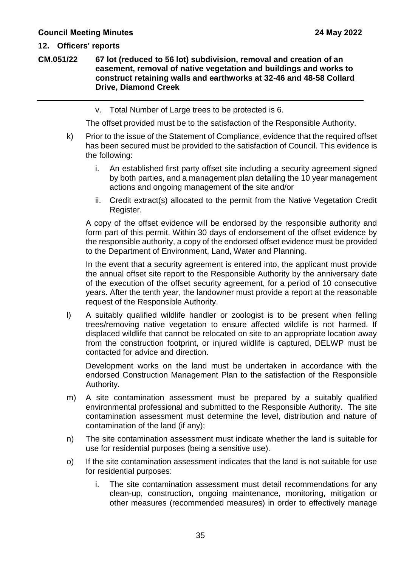#### **12. Officers' reports**

**CM.051/22 67 lot (reduced to 56 lot) subdivision, removal and creation of an easement, removal of native vegetation and buildings and works to construct retaining walls and earthworks at 32-46 and 48-58 Collard Drive, Diamond Creek**

v. Total Number of Large trees to be protected is 6.

The offset provided must be to the satisfaction of the Responsible Authority.

- k) Prior to the issue of the Statement of Compliance, evidence that the required offset has been secured must be provided to the satisfaction of Council. This evidence is the following:
	- i. An established first party offset site including a security agreement signed by both parties, and a management plan detailing the 10 year management actions and ongoing management of the site and/or
	- ii. Credit extract(s) allocated to the permit from the Native Vegetation Credit Register.

A copy of the offset evidence will be endorsed by the responsible authority and form part of this permit. Within 30 days of endorsement of the offset evidence by the responsible authority, a copy of the endorsed offset evidence must be provided to the Department of Environment, Land, Water and Planning.

In the event that a security agreement is entered into, the applicant must provide the annual offset site report to the Responsible Authority by the anniversary date of the execution of the offset security agreement, for a period of 10 consecutive years. After the tenth year, the landowner must provide a report at the reasonable request of the Responsible Authority.

l) A suitably qualified wildlife handler or zoologist is to be present when felling trees/removing native vegetation to ensure affected wildlife is not harmed. If displaced wildlife that cannot be relocated on site to an appropriate location away from the construction footprint, or injured wildlife is captured, DELWP must be contacted for advice and direction.

Development works on the land must be undertaken in accordance with the endorsed Construction Management Plan to the satisfaction of the Responsible Authority.

- m) A site contamination assessment must be prepared by a suitably qualified environmental professional and submitted to the Responsible Authority. The site contamination assessment must determine the level, distribution and nature of contamination of the land (if any);
- n) The site contamination assessment must indicate whether the land is suitable for use for residential purposes (being a sensitive use).
- o) If the site contamination assessment indicates that the land is not suitable for use for residential purposes:
	- i. The site contamination assessment must detail recommendations for any clean-up, construction, ongoing maintenance, monitoring, mitigation or other measures (recommended measures) in order to effectively manage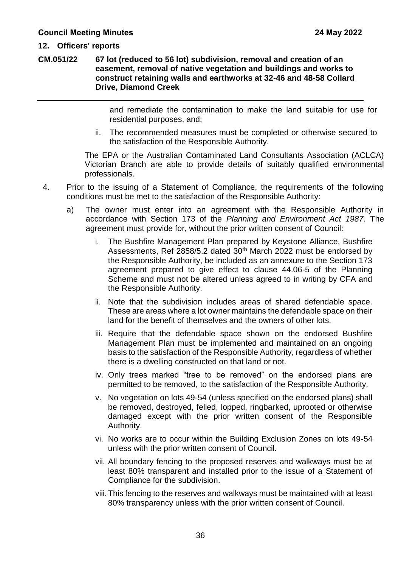**CM.051/22 67 lot (reduced to 56 lot) subdivision, removal and creation of an easement, removal of native vegetation and buildings and works to construct retaining walls and earthworks at 32-46 and 48-58 Collard Drive, Diamond Creek**

> and remediate the contamination to make the land suitable for use for residential purposes, and;

ii. The recommended measures must be completed or otherwise secured to the satisfaction of the Responsible Authority.

The EPA or the Australian Contaminated Land Consultants Association (ACLCA) Victorian Branch are able to provide details of suitably qualified environmental professionals.

- 4. Prior to the issuing of a Statement of Compliance, the requirements of the following conditions must be met to the satisfaction of the Responsible Authority:
	- a) The owner must enter into an agreement with the Responsible Authority in accordance with Section 173 of the *Planning and Environment Act 1987*. The agreement must provide for, without the prior written consent of Council:
		- i. The Bushfire Management Plan prepared by Keystone Alliance, Bushfire Assessments, Ref 2858/5.2 dated  $30<sup>th</sup>$  March 2022 must be endorsed by the Responsible Authority, be included as an annexure to the Section 173 agreement prepared to give effect to clause 44.06-5 of the Planning Scheme and must not be altered unless agreed to in writing by CFA and the Responsible Authority.
		- ii. Note that the subdivision includes areas of shared defendable space. These are areas where a lot owner maintains the defendable space on their land for the benefit of themselves and the owners of other lots.
		- iii. Require that the defendable space shown on the endorsed Bushfire Management Plan must be implemented and maintained on an ongoing basis to the satisfaction of the Responsible Authority, regardless of whether there is a dwelling constructed on that land or not.
		- iv. Only trees marked "tree to be removed" on the endorsed plans are permitted to be removed, to the satisfaction of the Responsible Authority.
		- v. No vegetation on lots 49-54 (unless specified on the endorsed plans) shall be removed, destroyed, felled, lopped, ringbarked, uprooted or otherwise damaged except with the prior written consent of the Responsible Authority.
		- vi. No works are to occur within the Building Exclusion Zones on lots 49-54 unless with the prior written consent of Council.
		- vii. All boundary fencing to the proposed reserves and walkways must be at least 80% transparent and installed prior to the issue of a Statement of Compliance for the subdivision.
		- viii.This fencing to the reserves and walkways must be maintained with at least 80% transparency unless with the prior written consent of Council.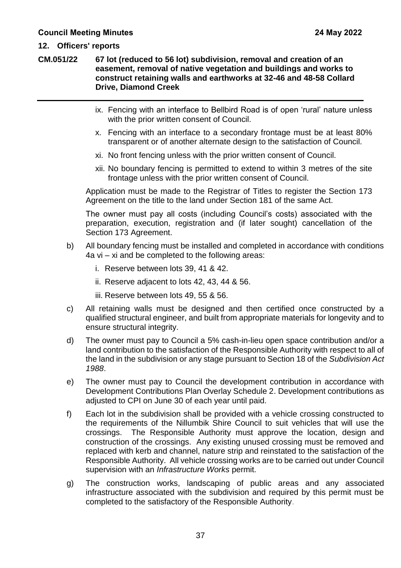**CM.051/22 67 lot (reduced to 56 lot) subdivision, removal and creation of an easement, removal of native vegetation and buildings and works to construct retaining walls and earthworks at 32-46 and 48-58 Collard Drive, Diamond Creek**

- ix. Fencing with an interface to Bellbird Road is of open 'rural' nature unless with the prior written consent of Council.
- x. Fencing with an interface to a secondary frontage must be at least 80% transparent or of another alternate design to the satisfaction of Council.
- xi. No front fencing unless with the prior written consent of Council.
- xii. No boundary fencing is permitted to extend to within 3 metres of the site frontage unless with the prior written consent of Council.

Application must be made to the Registrar of Titles to register the Section 173 Agreement on the title to the land under Section 181 of the same Act.

The owner must pay all costs (including Council's costs) associated with the preparation, execution, registration and (if later sought) cancellation of the Section 173 Agreement.

- b) All boundary fencing must be installed and completed in accordance with conditions 4a vi – xi and be completed to the following areas:
	- i. Reserve between lots 39, 41 & 42.
	- ii. Reserve adjacent to lots 42, 43, 44 & 56.
	- iii. Reserve between lots 49, 55 & 56.
- c) All retaining walls must be designed and then certified once constructed by a qualified structural engineer, and built from appropriate materials for longevity and to ensure structural integrity.
- d) The owner must pay to Council a 5% cash-in-lieu open space contribution and/or a land contribution to the satisfaction of the Responsible Authority with respect to all of the land in the subdivision or any stage pursuant to Section 18 of the *Subdivision Act 1988*.
- e) The owner must pay to Council the development contribution in accordance with Development Contributions Plan Overlay Schedule 2. Development contributions as adjusted to CPI on June 30 of each year until paid.
- f) Each lot in the subdivision shall be provided with a vehicle crossing constructed to the requirements of the Nillumbik Shire Council to suit vehicles that will use the crossings. The Responsible Authority must approve the location, design and construction of the crossings. Any existing unused crossing must be removed and replaced with kerb and channel, nature strip and reinstated to the satisfaction of the Responsible Authority. All vehicle crossing works are to be carried out under Council supervision with an *Infrastructure Works* permit.
- g) The construction works, landscaping of public areas and any associated infrastructure associated with the subdivision and required by this permit must be completed to the satisfactory of the Responsible Authority.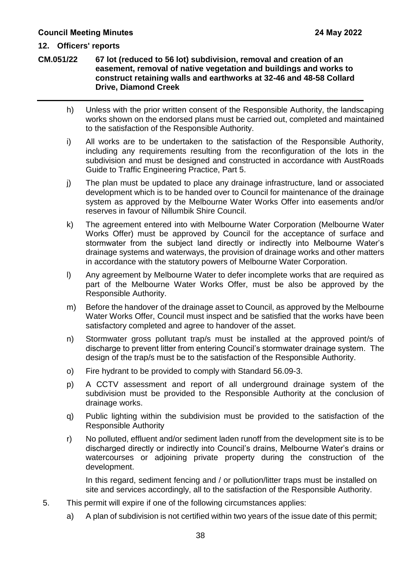**CM.051/22 67 lot (reduced to 56 lot) subdivision, removal and creation of an easement, removal of native vegetation and buildings and works to construct retaining walls and earthworks at 32-46 and 48-58 Collard Drive, Diamond Creek**

- h) Unless with the prior written consent of the Responsible Authority, the landscaping works shown on the endorsed plans must be carried out, completed and maintained to the satisfaction of the Responsible Authority.
- i) All works are to be undertaken to the satisfaction of the Responsible Authority, including any requirements resulting from the reconfiguration of the lots in the subdivision and must be designed and constructed in accordance with AustRoads Guide to Traffic Engineering Practice, Part 5.
- j) The plan must be updated to place any drainage infrastructure, land or associated development which is to be handed over to Council for maintenance of the drainage system as approved by the Melbourne Water Works Offer into easements and/or reserves in favour of Nillumbik Shire Council.
- k) The agreement entered into with Melbourne Water Corporation (Melbourne Water Works Offer) must be approved by Council for the acceptance of surface and stormwater from the subject land directly or indirectly into Melbourne Water's drainage systems and waterways, the provision of drainage works and other matters in accordance with the statutory powers of Melbourne Water Corporation.
- l) Any agreement by Melbourne Water to defer incomplete works that are required as part of the Melbourne Water Works Offer, must be also be approved by the Responsible Authority.
- m) Before the handover of the drainage asset to Council, as approved by the Melbourne Water Works Offer, Council must inspect and be satisfied that the works have been satisfactory completed and agree to handover of the asset.
- n) Stormwater gross pollutant trap/s must be installed at the approved point/s of discharge to prevent litter from entering Council's stormwater drainage system. The design of the trap/s must be to the satisfaction of the Responsible Authority.
- o) Fire hydrant to be provided to comply with Standard 56.09-3.
- p) A CCTV assessment and report of all underground drainage system of the subdivision must be provided to the Responsible Authority at the conclusion of drainage works.
- q) Public lighting within the subdivision must be provided to the satisfaction of the Responsible Authority
- r) No polluted, effluent and/or sediment laden runoff from the development site is to be discharged directly or indirectly into Council's drains, Melbourne Water's drains or watercourses or adjoining private property during the construction of the development.

In this regard, sediment fencing and / or pollution/litter traps must be installed on site and services accordingly, all to the satisfaction of the Responsible Authority.

- 5. This permit will expire if one of the following circumstances applies:
	- a) A plan of subdivision is not certified within two years of the issue date of this permit;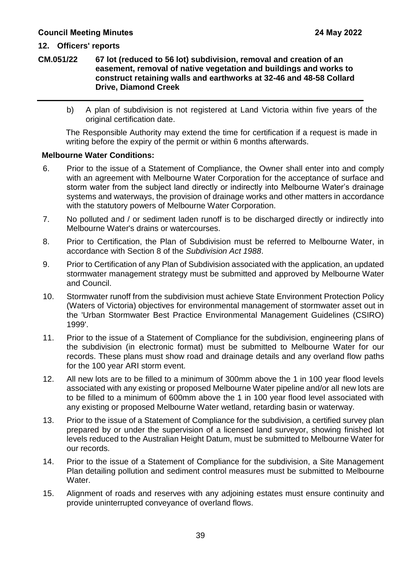**CM.051/22 67 lot (reduced to 56 lot) subdivision, removal and creation of an easement, removal of native vegetation and buildings and works to construct retaining walls and earthworks at 32-46 and 48-58 Collard Drive, Diamond Creek**

b) A plan of subdivision is not registered at Land Victoria within five years of the original certification date.

The Responsible Authority may extend the time for certification if a request is made in writing before the expiry of the permit or within 6 months afterwards.

#### **Melbourne Water Conditions:**

- 6. Prior to the issue of a Statement of Compliance, the Owner shall enter into and comply with an agreement with Melbourne Water Corporation for the acceptance of surface and storm water from the subject land directly or indirectly into Melbourne Water's drainage systems and waterways, the provision of drainage works and other matters in accordance with the statutory powers of Melbourne Water Corporation.
- 7. No polluted and / or sediment laden runoff is to be discharged directly or indirectly into Melbourne Water's drains or watercourses.
- 8. Prior to Certification, the Plan of Subdivision must be referred to Melbourne Water, in accordance with Section 8 of the *Subdivision Act 1988*.
- 9. Prior to Certification of any Plan of Subdivision associated with the application, an updated stormwater management strategy must be submitted and approved by Melbourne Water and Council.
- 10. Stormwater runoff from the subdivision must achieve State Environment Protection Policy (Waters of Victoria) objectives for environmental management of stormwater asset out in the 'Urban Stormwater Best Practice Environmental Management Guidelines (CSIRO) 1999'.
- 11. Prior to the issue of a Statement of Compliance for the subdivision, engineering plans of the subdivision (in electronic format) must be submitted to Melbourne Water for our records. These plans must show road and drainage details and any overland flow paths for the 100 year ARI storm event.
- 12. All new lots are to be filled to a minimum of 300mm above the 1 in 100 year flood levels associated with any existing or proposed Melbourne Water pipeline and/or all new lots are to be filled to a minimum of 600mm above the 1 in 100 year flood level associated with any existing or proposed Melbourne Water wetland, retarding basin or waterway.
- 13. Prior to the issue of a Statement of Compliance for the subdivision, a certified survey plan prepared by or under the supervision of a licensed land surveyor, showing finished lot levels reduced to the Australian Height Datum, must be submitted to Melbourne Water for our records.
- 14. Prior to the issue of a Statement of Compliance for the subdivision, a Site Management Plan detailing pollution and sediment control measures must be submitted to Melbourne Water.
- 15. Alignment of roads and reserves with any adjoining estates must ensure continuity and provide uninterrupted conveyance of overland flows.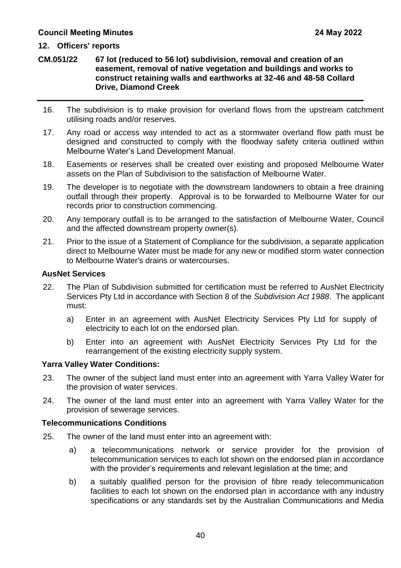#### **12. Officers' reports**

**CM.051/22 67 lot (reduced to 56 lot) subdivision, removal and creation of an easement, removal of native vegetation and buildings and works to construct retaining walls and earthworks at 32-46 and 48-58 Collard Drive, Diamond Creek**

- 16. The subdivision is to make provision for overland flows from the upstream catchment utilising roads and/or reserves.
- 17. Any road or access way intended to act as a stormwater overland flow path must be designed and constructed to comply with the floodway safety criteria outlined within Melbourne Water's Land Development Manual.
- 18. Easements or reserves shall be created over existing and proposed Melbourne Water assets on the Plan of Subdivision to the satisfaction of Melbourne Water.
- 19. The developer is to negotiate with the downstream landowners to obtain a free draining outfall through their property. Approval is to be forwarded to Melbourne Water for our records prior to construction commencing.
- 20. Any temporary outfall is to be arranged to the satisfaction of Melbourne Water, Council and the affected downstream property owner(s).
- 21. Prior to the issue of a Statement of Compliance for the subdivision, a separate application direct to Melbourne Water must be made for any new or modified storm water connection to Melbourne Water's drains or watercourses.

#### **AusNet Services**

- 22. The Plan of Subdivision submitted for certification must be referred to AusNet Electricity Services Pty Ltd in accordance with Section 8 of the *Subdivision Act 1988*. The applicant must:
	- a) Enter in an agreement with AusNet Electricity Services Pty Ltd for supply of electricity to each lot on the endorsed plan.
	- b) Enter into an agreement with AusNet Electricity Services Pty Ltd for the rearrangement of the existing electricity supply system.

#### **Yarra Valley Water Conditions:**

- 23. The owner of the subject land must enter into an agreement with Yarra Valley Water for the provision of water services.
- 24. The owner of the land must enter into an agreement with Yarra Valley Water for the provision of sewerage services.

#### **Telecommunications Conditions**

- 25. The owner of the land must enter into an agreement with:
	- a) a telecommunications network or service provider for the provision of telecommunication services to each lot shown on the endorsed plan in accordance with the provider's requirements and relevant legislation at the time; and
	- b) a suitably qualified person for the provision of fibre ready telecommunication facilities to each lot shown on the endorsed plan in accordance with any industry specifications or any standards set by the Australian Communications and Media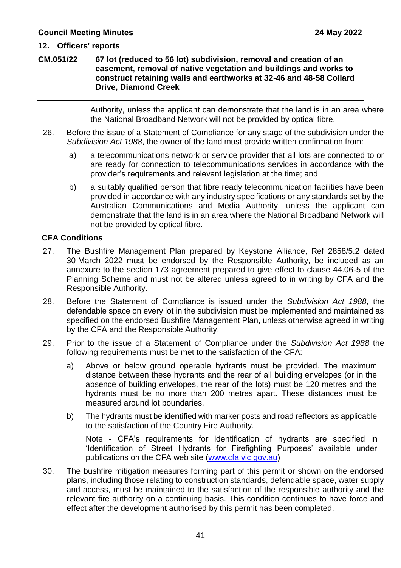#### **12. Officers' reports**

#### **CM.051/22 67 lot (reduced to 56 lot) subdivision, removal and creation of an easement, removal of native vegetation and buildings and works to construct retaining walls and earthworks at 32-46 and 48-58 Collard Drive, Diamond Creek**

Authority, unless the applicant can demonstrate that the land is in an area where the National Broadband Network will not be provided by optical fibre.

- 26. Before the issue of a Statement of Compliance for any stage of the subdivision under the *Subdivision Act 1988*, the owner of the land must provide written confirmation from:
	- a) a telecommunications network or service provider that all lots are connected to or are ready for connection to telecommunications services in accordance with the provider's requirements and relevant legislation at the time; and
	- b) a suitably qualified person that fibre ready telecommunication facilities have been provided in accordance with any industry specifications or any standards set by the Australian Communications and Media Authority, unless the applicant can demonstrate that the land is in an area where the National Broadband Network will not be provided by optical fibre.

#### **CFA Conditions**

- 27. The Bushfire Management Plan prepared by Keystone Alliance, Ref 2858/5.2 dated 30 March 2022 must be endorsed by the Responsible Authority, be included as an annexure to the section 173 agreement prepared to give effect to clause 44.06-5 of the Planning Scheme and must not be altered unless agreed to in writing by CFA and the Responsible Authority.
- 28. Before the Statement of Compliance is issued under the *Subdivision Act 1988*, the defendable space on every lot in the subdivision must be implemented and maintained as specified on the endorsed Bushfire Management Plan, unless otherwise agreed in writing by the CFA and the Responsible Authority.
- 29. Prior to the issue of a Statement of Compliance under the *Subdivision Act 1988* the following requirements must be met to the satisfaction of the CFA:
	- a) Above or below ground operable hydrants must be provided. The maximum distance between these hydrants and the rear of all building envelopes (or in the absence of building envelopes, the rear of the lots) must be 120 metres and the hydrants must be no more than 200 metres apart. These distances must be measured around lot boundaries.
	- b) The hydrants must be identified with marker posts and road reflectors as applicable to the satisfaction of the Country Fire Authority.

Note - CFA's requirements for identification of hydrants are specified in 'Identification of Street Hydrants for Firefighting Purposes' available under publications on the CFA web site (www.cfa.vic.gov.au)

30. The bushfire mitigation measures forming part of this permit or shown on the endorsed plans, including those relating to construction standards, defendable space, water supply and access, must be maintained to the satisfaction of the responsible authority and the relevant fire authority on a continuing basis. This condition continues to have force and effect after the development authorised by this permit has been completed.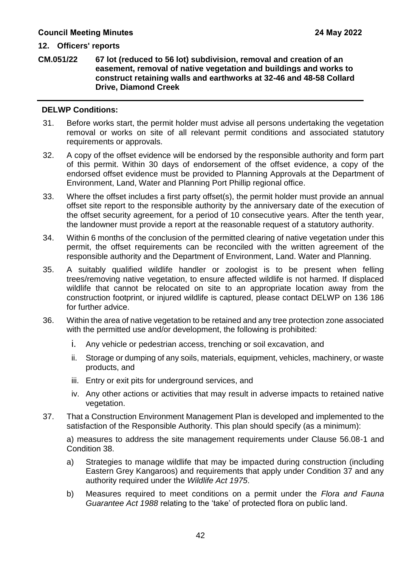**CM.051/22 67 lot (reduced to 56 lot) subdivision, removal and creation of an easement, removal of native vegetation and buildings and works to construct retaining walls and earthworks at 32-46 and 48-58 Collard Drive, Diamond Creek**

#### **DELWP Conditions:**

- 31. Before works start, the permit holder must advise all persons undertaking the vegetation removal or works on site of all relevant permit conditions and associated statutory requirements or approvals.
- 32. A copy of the offset evidence will be endorsed by the responsible authority and form part of this permit. Within 30 days of endorsement of the offset evidence, a copy of the endorsed offset evidence must be provided to Planning Approvals at the Department of Environment, Land, Water and Planning Port Phillip regional office.
- 33. Where the offset includes a first party offset(s), the permit holder must provide an annual offset site report to the responsible authority by the anniversary date of the execution of the offset security agreement, for a period of 10 consecutive years. After the tenth year, the landowner must provide a report at the reasonable request of a statutory authority.
- 34. Within 6 months of the conclusion of the permitted clearing of native vegetation under this permit, the offset requirements can be reconciled with the written agreement of the responsible authority and the Department of Environment, Land. Water and Planning.
- 35. A suitably qualified wildlife handler or zoologist is to be present when felling trees/removing native vegetation, to ensure affected wildlife is not harmed. If displaced wildlife that cannot be relocated on site to an appropriate location away from the construction footprint, or injured wildlife is captured, please contact DELWP on 136 186 for further advice.
- 36. Within the area of native vegetation to be retained and any tree protection zone associated with the permitted use and/or development, the following is prohibited:
	- i. Any vehicle or pedestrian access, trenching or soil excavation, and
	- ii. Storage or dumping of any soils, materials, equipment, vehicles, machinery, or waste products, and
	- iii. Entry or exit pits for underground services, and
	- iv. Any other actions or activities that may result in adverse impacts to retained native vegetation.
- 37. That a Construction Environment Management Plan is developed and implemented to the satisfaction of the Responsible Authority. This plan should specify (as a minimum):

a) measures to address the site management requirements under Clause 56.08-1 and Condition 38.

- a) Strategies to manage wildlife that may be impacted during construction (including Eastern Grey Kangaroos) and requirements that apply under Condition 37 and any authority required under the *Wildlife Act 1975*.
- b) Measures required to meet conditions on a permit under the *Flora and Fauna Guarantee Act 1988* relating to the 'take' of protected flora on public land.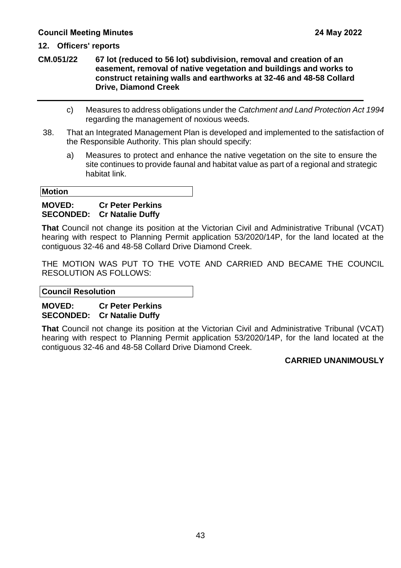**CM.051/22 67 lot (reduced to 56 lot) subdivision, removal and creation of an easement, removal of native vegetation and buildings and works to construct retaining walls and earthworks at 32-46 and 48-58 Collard Drive, Diamond Creek**

- c) Measures to address obligations under the *Catchment and Land Protection Act 1994* regarding the management of noxious weeds.
- 38. That an Integrated Management Plan is developed and implemented to the satisfaction of the Responsible Authority. This plan should specify:
	- a) Measures to protect and enhance the native vegetation on the site to ensure the site continues to provide faunal and habitat value as part of a regional and strategic habitat link.

**Motion**

#### **MOVED: Cr Peter Perkins SECONDED: Cr Natalie Duffy**

**That** Council not change its position at the Victorian Civil and Administrative Tribunal (VCAT) hearing with respect to Planning Permit application 53/2020/14P, for the land located at the contiguous 32-46 and 48-58 Collard Drive Diamond Creek.

THE MOTION WAS PUT TO THE VOTE AND CARRIED AND BECAME THE COUNCIL RESOLUTION AS FOLLOWS:

**Council Resolution**

#### **MOVED: Cr Peter Perkins SECONDED: Cr Natalie Duffy**

**That** Council not change its position at the Victorian Civil and Administrative Tribunal (VCAT) hearing with respect to Planning Permit application 53/2020/14P, for the land located at the contiguous 32-46 and 48-58 Collard Drive Diamond Creek.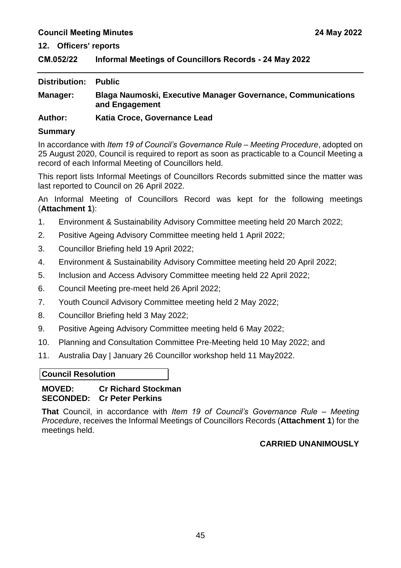#### <span id="page-47-0"></span>**CM.052/22 Informal Meetings of Councillors Records - 24 May 2022**

| Distribution: | <b>Public</b>                                                                         |
|---------------|---------------------------------------------------------------------------------------|
| Manager:      | <b>Blaga Naumoski, Executive Manager Governance, Communications</b><br>and Engagement |
| $A$ $h$       | Katia Cross Covernance Load                                                           |

#### **Author: Katia Croce, Governance Lead**

#### **Summary**

In accordance with *Item 19 of Council's Governance Rule – Meeting Procedure*, adopted on 25 August 2020, Council is required to report as soon as practicable to a Council Meeting a record of each Informal Meeting of Councillors held.

This report lists Informal Meetings of Councillors Records submitted since the matter was last reported to Council on 26 April 2022.

An Informal Meeting of Councillors Record was kept for the following meetings (**Attachment 1**):

- 1. Environment & Sustainability Advisory Committee meeting held 20 March 2022;
- 2. Positive Ageing Advisory Committee meeting held 1 April 2022;
- 3. Councillor Briefing held 19 April 2022;
- 4. Environment & Sustainability Advisory Committee meeting held 20 April 2022;
- 5. Inclusion and Access Advisory Committee meeting held 22 April 2022;
- 6. Council Meeting pre-meet held 26 April 2022;
- 7. Youth Council Advisory Committee meeting held 2 May 2022;
- 8. Councillor Briefing held 3 May 2022;
- 9. Positive Ageing Advisory Committee meeting held 6 May 2022;
- 10. Planning and Consultation Committee Pre-Meeting held 10 May 2022; and
- 11. Australia Day | January 26 Councillor workshop held 11 May2022.

#### **Council Resolution**

#### **MOVED: Cr Richard Stockman SECONDED: Cr Peter Perkins**

**That** Council, in accordance with *Item 19 of Council's Governance Rule – Meeting Procedure*, receives the Informal Meetings of Councillors Records (**Attachment 1**) for the meetings held.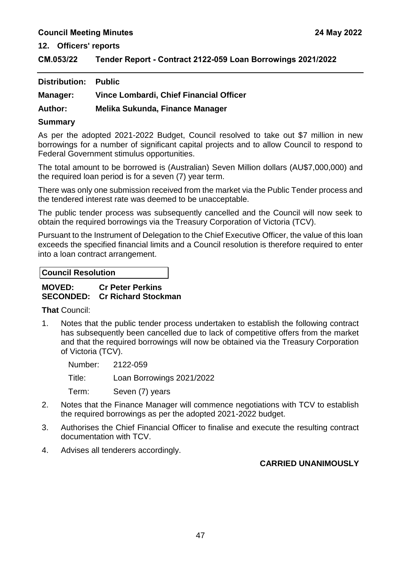#### **12. Officers' reports**

<span id="page-49-0"></span>**CM.053/22 Tender Report - Contract 2122-059 Loan Borrowings 2021/2022**

| <b>Distribution: Public</b> |                                         |
|-----------------------------|-----------------------------------------|
| Manager:                    | Vince Lombardi, Chief Financial Officer |
| <b>Author:</b>              | Melika Sukunda, Finance Manager         |

#### **Summary**

As per the adopted 2021-2022 Budget, Council resolved to take out \$7 million in new borrowings for a number of significant capital projects and to allow Council to respond to Federal Government stimulus opportunities.

The total amount to be borrowed is (Australian) Seven Million dollars (AU\$7,000,000) and the required loan period is for a seven (7) year term.

There was only one submission received from the market via the Public Tender process and the tendered interest rate was deemed to be unacceptable.

The public tender process was subsequently cancelled and the Council will now seek to obtain the required borrowings via the Treasury Corporation of Victoria (TCV).

Pursuant to the Instrument of Delegation to the Chief Executive Officer, the value of this loan exceeds the specified financial limits and a Council resolution is therefore required to enter into a loan contract arrangement.

#### **Council Resolution**

#### **MOVED: Cr Peter Perkins SECONDED: Cr Richard Stockman**

**That** Council:

1. Notes that the public tender process undertaken to establish the following contract has subsequently been cancelled due to lack of competitive offers from the market and that the required borrowings will now be obtained via the Treasury Corporation of Victoria (TCV).

Number: 2122-059 Title: Loan Borrowings 2021/2022 Term: Seven (7) years

- 2. Notes that the Finance Manager will commence negotiations with TCV to establish the required borrowings as per the adopted 2021-2022 budget.
- 3. Authorises the Chief Financial Officer to finalise and execute the resulting contract documentation with TCV.
- 4. Advises all tenderers accordingly.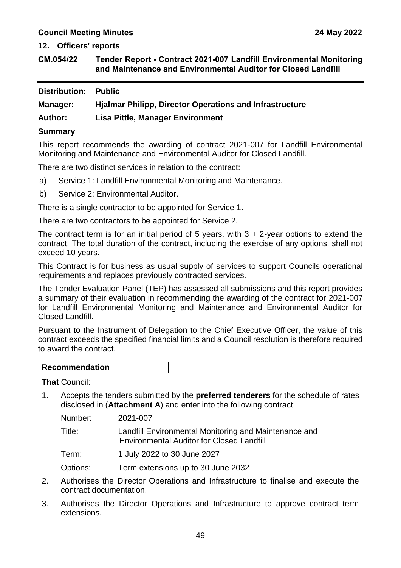**12. Officers' reports**

<span id="page-51-0"></span>**CM.054/22 Tender Report - Contract 2021-007 Landfill Environmental Monitoring and Maintenance and Environmental Auditor for Closed Landfill** 

| <b>Distribution: Public</b>           |                                                                |
|---------------------------------------|----------------------------------------------------------------|
| Manager:                              | <b>Hjalmar Philipp, Director Operations and Infrastructure</b> |
| <b>Author:</b>                        | <b>Lisa Pittle, Manager Environment</b>                        |
| $P_{\text{max}}$ and $P_{\text{max}}$ |                                                                |

#### **Summary**

This report recommends the awarding of contract 2021-007 for Landfill Environmental Monitoring and Maintenance and Environmental Auditor for Closed Landfill.

There are two distinct services in relation to the contract:

- a) Service 1: Landfill Environmental Monitoring and Maintenance.
- b) Service 2: Environmental Auditor.

There is a single contractor to be appointed for Service 1.

There are two contractors to be appointed for Service 2.

The contract term is for an initial period of 5 years, with 3 + 2-year options to extend the contract. The total duration of the contract, including the exercise of any options, shall not exceed 10 years.

This Contract is for business as usual supply of services to support Councils operational requirements and replaces previously contracted services.

The Tender Evaluation Panel (TEP) has assessed all submissions and this report provides a summary of their evaluation in recommending the awarding of the contract for 2021-007 for Landfill Environmental Monitoring and Maintenance and Environmental Auditor for Closed Landfill.

Pursuant to the Instrument of Delegation to the Chief Executive Officer, the value of this contract exceeds the specified financial limits and a Council resolution is therefore required to award the contract.

**That** Council:

1. Accepts the tenders submitted by the **preferred tenderers** for the schedule of rates disclosed in (**Attachment A**) and enter into the following contract:

Number: 2021-007

Title: Landfill Environmental Monitoring and Maintenance and Environmental Auditor for Closed Landfill

- Term: 1 July 2022 to 30 June 2027
- Options: Term extensions up to 30 June 2032
- 2. Authorises the Director Operations and Infrastructure to finalise and execute the contract documentation.
- 3. Authorises the Director Operations and Infrastructure to approve contract term extensions.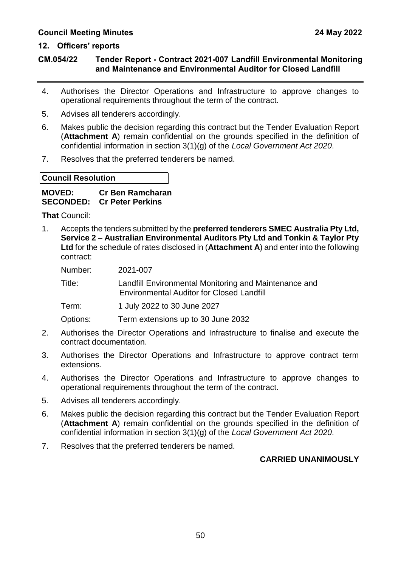**CM.054/22 Tender Report - Contract 2021-007 Landfill Environmental Monitoring and Maintenance and Environmental Auditor for Closed Landfill** 

- 4. Authorises the Director Operations and Infrastructure to approve changes to operational requirements throughout the term of the contract.
- 5. Advises all tenderers accordingly.
- 6. Makes public the decision regarding this contract but the Tender Evaluation Report (**Attachment A**) remain confidential on the grounds specified in the definition of confidential information in section 3(1)(g) of the *Local Government Act 2020*.
- 7. Resolves that the preferred tenderers be named.

#### **Council Resolution**

#### **MOVED: Cr Ben Ramcharan SECONDED: Cr Peter Perkins**

**That** Council:

1. Accepts the tenders submitted by the **preferred tenderers SMEC Australia Pty Ltd, Service 2 – Australian Environmental Auditors Pty Ltd and Tonkin & Taylor Pty Ltd** for the schedule of rates disclosed in (**Attachment A**) and enter into the following contract:

Number: 2021-007

Title: Landfill Environmental Monitoring and Maintenance and Environmental Auditor for Closed Landfill

Term: 1 July 2022 to 30 June 2027

Options: Term extensions up to 30 June 2032

- 2. Authorises the Director Operations and Infrastructure to finalise and execute the contract documentation.
- 3. Authorises the Director Operations and Infrastructure to approve contract term extensions.
- 4. Authorises the Director Operations and Infrastructure to approve changes to operational requirements throughout the term of the contract.
- 5. Advises all tenderers accordingly.
- 6. Makes public the decision regarding this contract but the Tender Evaluation Report (**Attachment A**) remain confidential on the grounds specified in the definition of confidential information in section 3(1)(g) of the *Local Government Act 2020*.
- 7. Resolves that the preferred tenderers be named.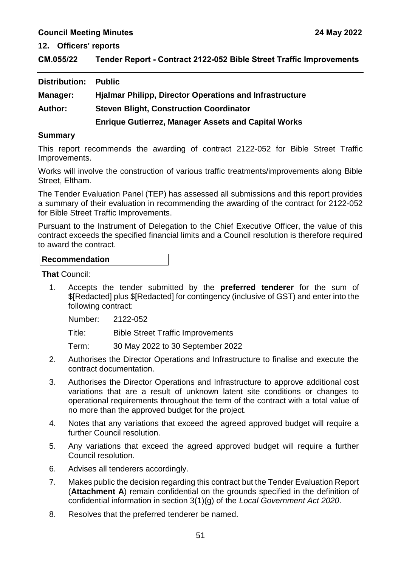**12. Officers' reports**

<span id="page-53-0"></span>

| CM.055/22 | Tender Report - Contract 2122-052 Bible Street Traffic Improvements |
|-----------|---------------------------------------------------------------------|
|-----------|---------------------------------------------------------------------|

| Distribution:  | <b>Public</b>                                                  |
|----------------|----------------------------------------------------------------|
| Manager:       | <b>Hjalmar Philipp, Director Operations and Infrastructure</b> |
| <b>Author:</b> | <b>Steven Blight, Construction Coordinator</b>                 |
|                | <b>Enrique Gutierrez, Manager Assets and Capital Works</b>     |

#### **Summary**

This report recommends the awarding of contract 2122-052 for Bible Street Traffic Improvements.

Works will involve the construction of various traffic treatments/improvements along Bible Street, Eltham.

The Tender Evaluation Panel (TEP) has assessed all submissions and this report provides a summary of their evaluation in recommending the awarding of the contract for 2122-052 for Bible Street Traffic Improvements.

Pursuant to the Instrument of Delegation to the Chief Executive Officer, the value of this contract exceeds the specified financial limits and a Council resolution is therefore required to award the contract.

#### **Recommendation**

**That** Council:

1. Accepts the tender submitted by the **preferred tenderer** for the sum of \$[Redacted] plus \$[Redacted] for contingency (inclusive of GST) and enter into the following contract:

Number: 2122-052

Title: Bible Street Traffic Improvements

Term: 30 May 2022 to 30 September 2022

- 2. Authorises the Director Operations and Infrastructure to finalise and execute the contract documentation.
- 3. Authorises the Director Operations and Infrastructure to approve additional cost variations that are a result of unknown latent site conditions or changes to operational requirements throughout the term of the contract with a total value of no more than the approved budget for the project.
- 4. Notes that any variations that exceed the agreed approved budget will require a further Council resolution.
- 5. Any variations that exceed the agreed approved budget will require a further Council resolution.
- 6. Advises all tenderers accordingly.
- 7. Makes public the decision regarding this contract but the Tender Evaluation Report (**Attachment A**) remain confidential on the grounds specified in the definition of confidential information in section 3(1)(g) of the *Local Government Act 2020*.
- 8. Resolves that the preferred tenderer be named.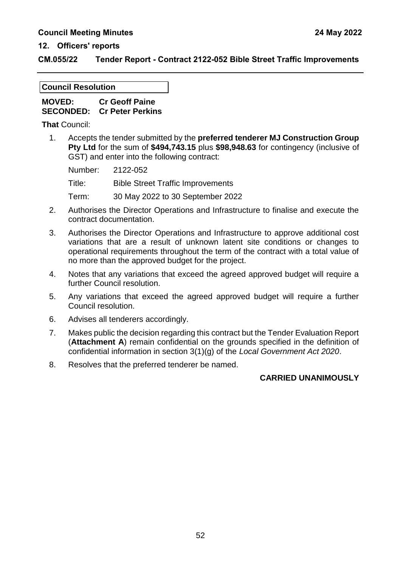#### **CM.055/22 Tender Report - Contract 2122-052 Bible Street Traffic Improvements**

#### **Council Resolution**

| <b>MOVED:</b> | <b>Cr Geoff Paine</b>             |
|---------------|-----------------------------------|
|               | <b>SECONDED: Cr Peter Perkins</b> |

**That** Council:

1. Accepts the tender submitted by the **preferred tenderer MJ Construction Group Pty Ltd** for the sum of **\$494,743.15** plus **\$98,948.63** for contingency (inclusive of GST) and enter into the following contract:

| Number: | 2122-052                                 |
|---------|------------------------------------------|
| Title:  | <b>Bible Street Traffic Improvements</b> |
| Term:   | 30 May 2022 to 30 September 2022         |

- 2. Authorises the Director Operations and Infrastructure to finalise and execute the contract documentation.
- 3. Authorises the Director Operations and Infrastructure to approve additional cost variations that are a result of unknown latent site conditions or changes to operational requirements throughout the term of the contract with a total value of no more than the approved budget for the project.
- 4. Notes that any variations that exceed the agreed approved budget will require a further Council resolution.
- 5. Any variations that exceed the agreed approved budget will require a further Council resolution.
- 6. Advises all tenderers accordingly.
- 7. Makes public the decision regarding this contract but the Tender Evaluation Report (**Attachment A**) remain confidential on the grounds specified in the definition of confidential information in section 3(1)(g) of the *Local Government Act 2020*.
- 8. Resolves that the preferred tenderer be named.